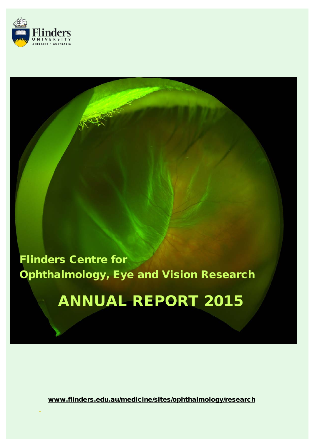

## Flinders Centre for Ophthalmology, Eye and Vision Research

**REFERE** 

# ANNUAL REPORT 2015

www.flinders.edu.au/medicine/sites/ophthalmology/research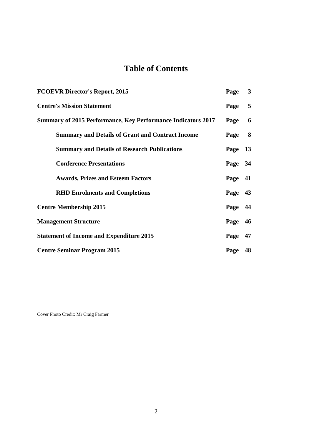## **Table of Contents**

| <b>FCOEVR Director's Report, 2015</b><br>Page                       |         |    |
|---------------------------------------------------------------------|---------|----|
| <b>Centre's Mission Statement</b>                                   | Page    | 5  |
| <b>Summary of 2015 Performance, Key Performance Indicators 2017</b> | Page    | 6  |
| <b>Summary and Details of Grant and Contract Income</b>             | Page    | 8  |
| <b>Summary and Details of Research Publications</b>                 | Page    | 13 |
| <b>Conference Presentations</b>                                     | Page 34 |    |
| <b>Awards, Prizes and Esteem Factors</b>                            | Page 41 |    |
| <b>RHD Enrolments and Completions</b>                               | Page 43 |    |
| <b>Centre Membership 2015</b>                                       | Page 44 |    |
| <b>Management Structure</b>                                         | Page 46 |    |
| <b>Statement of Income and Expenditure 2015</b>                     | Page 47 |    |
| <b>Centre Seminar Program 2015</b>                                  | Page 48 |    |

Cover Photo Credit: Mr Craig Farmer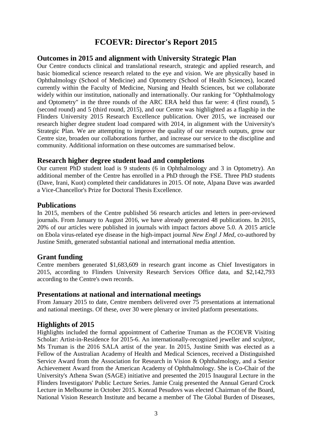## **FCOEVR: Director's Report 2015**

#### **Outcomes in 2015 and alignment with University Strategic Plan**

Our Centre conducts clinical and translational research, strategic and applied research, and basic biomedical science research related to the eye and vision. We are physically based in Ophthalmology (School of Medicine) and Optometry (School of Health Sciences), located currently within the Faculty of Medicine, Nursing and Health Sciences, but we collaborate widely within our institution, nationally and internationally. Our ranking for "Ophthalmology and Optometry" in the three rounds of the ARC ERA held thus far were: 4 (first round), 5 (second round) and 5 (third round, 2015), and our Centre was highlighted as a flagship in the Flinders University 2015 Research Excellence publication. Over 2015, we increased our research higher degree student load compared with 2014, in alignment with the University's Strategic Plan. We are attempting to improve the quality of our research outputs, grow our Centre size, broaden our collaborations further, and increase our service to the discipline and community. Additional information on these outcomes are summarised below.

#### **Research higher degree student load and completions**

Our current PhD student load is 9 students (6 in Ophthalmology and 3 in Optometry). An additional member of the Centre has enrolled in a PhD through the FSE. Three PhD students (Dave, Irani, Kuot) completed their candidatures in 2015. Of note, Alpana Dave was awarded a Vice-Chancellor's Prize for Doctoral Thesis Excellence.

#### **Publications**

In 2015, members of the Centre published 56 research articles and letters in peer-reviewed journals. From January to August 2016, we have already generated 48 publications. In 2015, 20% of our articles were published in journals with impact factors above 5.0. A 2015 article on Ebola virus-related eye disease in the high-impact journal *New Engl J Med*, co-authored by Justine Smith, generated substantial national and international media attention.

#### **Grant funding**

Centre members generated \$1,683,609 in research grant income as Chief Investigators in 2015, according to Flinders University Research Services Office data, and \$2,142,793 according to the Centre's own records.

#### **Presentations at national and international meetings**

From January 2015 to date, Centre members delivered over 75 presentations at international and national meetings. Of these, over 30 were plenary or invited platform presentations.

#### **Highlights of 2015**

Highlights included the formal appointment of Catherine Truman as the FCOEVR Visiting Scholar: Artist-in-Residence for 2015-6. An internationally-recognized jeweller and sculptor, Ms Truman is the 2016 SALA artist of the year. In 2015, Justine Smith was elected as a Fellow of the Australian Academy of Health and Medical Sciences, received a Distinguished Service Award from the Association for Research in Vision & Ophthalmology, and a Senior Achievement Award from the American Academy of Ophthalmology. She is Co-Chair of the University's Athena Swan (SAGE) initiative and presented the 2015 Inaugural Lecture in the Flinders Investigators' Public Lecture Series. Jamie Craig presented the Annual Gerard Crock Lecture in Melbourne in October 2015. Konrad Pesudovs was elected Chairman of the Board, National Vision Research Institute and became a member of The Global Burden of Diseases,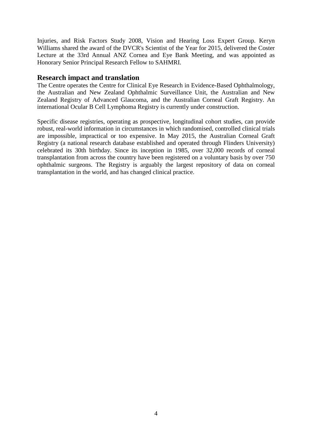Injuries, and Risk Factors Study 2008, Vision and Hearing Loss Expert Group. Keryn Williams shared the award of the DVCR's Scientist of the Year for 2015, delivered the Coster Lecture at the 33rd Annual ANZ Cornea and Eye Bank Meeting, and was appointed as Honorary Senior Principal Research Fellow to SAHMRI.

#### **Research impact and translation**

The Centre operates the Centre for Clinical Eye Research in Evidence-Based Ophthalmology, the Australian and New Zealand Ophthalmic Surveillance Unit, the Australian and New Zealand Registry of Advanced Glaucoma, and the Australian Corneal Graft Registry. An international Ocular B Cell Lymphoma Registry is currently under construction.

Specific disease registries, operating as prospective, longitudinal cohort studies, can provide robust, real-world information in circumstances in which randomised, controlled clinical trials are impossible, impractical or too expensive. In May 2015, the Australian Corneal Graft Registry (a national research database established and operated through Flinders University) celebrated its 30th birthday. Since its inception in 1985, over 32,000 records of corneal transplantation from across the country have been registered on a voluntary basis by over 750 ophthalmic surgeons. The Registry is arguably the largest repository of data on corneal transplantation in the world, and has changed clinical practice.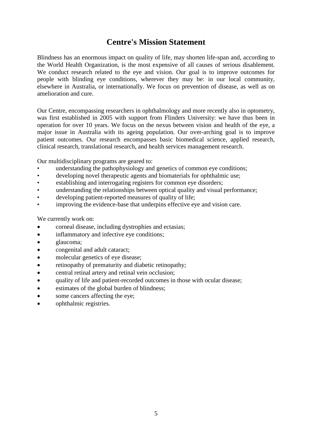## **Centre's Mission Statement**

Blindness has an enormous impact on quality of life, may shorten life-span and, according to the World Health Organization, is the most expensive of all causes of serious disablement. We conduct research related to the eye and vision. Our goal is to improve outcomes for people with blinding eye conditions, wherever they may be: in our local community, elsewhere in Australia, or internationally. We focus on prevention of disease, as well as on amelioration and cure.

Our Centre, encompassing researchers in ophthalmology and more recently also in optometry, was first established in 2005 with support from Flinders University: we have thus been in operation for over 10 years. We focus on the nexus between vision and health of the eye, a major issue in Australia with its ageing population. Our over-arching goal is to improve patient outcomes. Our research encompasses basic biomedical science, applied research, clinical research, translational research, and health services management research.

Our multidisciplinary programs are geared to:

- understanding the pathophysiology and genetics of common eye conditions;
- developing novel therapeutic agents and biomaterials for ophthalmic use;
- establishing and interrogating registers for common eye disorders;
- understanding the relationships between optical quality and visual performance;
- developing patient-reported measures of quality of life;
- improving the evidence-base that underpins effective eye and vision care.

We currently work on:

- corneal disease, including dystrophies and ectasias;
- inflammatory and infective eye conditions;
- glaucoma;
- congenital and adult cataract;
- molecular genetics of eye disease;
- retinopathy of prematurity and diabetic retinopathy;
- central retinal artery and retinal vein occlusion;
- quality of life and patient-recorded outcomes in those with ocular disease;
- estimates of the global burden of blindness;
- some cancers affecting the eye;
- ophthalmic registries.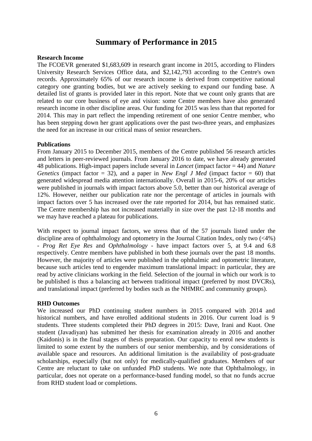### **Summary of Performance in 2015**

#### **Research Income**

The FCOEVR generated \$1,683,609 in research grant income in 2015, according to Flinders University Research Services Office data, and \$2,142,793 according to the Centre's own records. Approximately 65% of our research income is derived from competitive national category one granting bodies, but we are actively seeking to expand our funding base. A detailed list of grants is provided later in this report. Note that we count only grants that are related to our core business of eye and vision: some Centre members have also generated research income in other discipline areas. Our funding for 2015 was less than that reported for 2014. This may in part reflect the impending retirement of one senior Centre member, who has been stepping down her grant applications over the past two-three years, and emphasizes the need for an increase in our critical mass of senior researchers.

#### **Publications**

From January 2015 to December 2015, members of the Centre published 56 research articles and letters in peer-reviewed journals. From January 2016 to date, we have already generated 48 publications. High-impact papers include several in *Lancet* (impact factor = 44) and *Nature Genetics* (impact factor  $= 32$ ), and a paper in *New Engl J Med* (impact factor  $= 60$ ) that generated widespread media attention internationally. Overall in 2015-6, 20% of our articles were published in journals with impact factors above 5.0, better than our historical average of 12%. However, neither our publication rate nor the percentage of articles in journals with impact factors over 5 has increased over the rate reported for 2014, but has remained static. The Centre membership has not increased materially in size over the past 12-18 months and we may have reached a plateau for publications.

With respect to journal impact factors, we stress that of the 57 journals listed under the discipline area of ophthalmology and optometry in the Journal Citation Index, only two (<4%) - *Prog Ret Eye Res* and *Ophthalmology* - have impact factors over 5, at 9.4 and 6.8 respectively. Centre members have published in both these journals over the past 18 months. However, the majority of articles were published in the ophthalmic and optometric literature, because such articles tend to engender maximum translational impact: in particular, they are read by active clinicians working in the field. Selection of the journal in which our work is to be published is thus a balancing act between traditional impact (preferred by most DVCRs), and translational impact (preferred by bodies such as the NHMRC and community groups).

#### **RHD Outcomes**

We increased our PhD continuing student numbers in 2015 compared with 2014 and historical numbers, and have enrolled additional students in 2016. Our current load is 9 students. Three students completed their PhD degrees in 2015: Dave, Irani and Kuot. One student (Javadiyan) has submitted her thesis for examination already in 2016 and another (Kaidonis) is in the final stages of thesis preparation. Our capacity to enrol new students is limited to some extent by the numbers of our senior membership, and by considerations of available space and resources. An additional limitation is the availability of post-graduate scholarships, especially (but not only) for medically-qualified graduates. Members of our Centre are reluctant to take on unfunded PhD students. We note that Ophthalmology, in particular, does not operate on a performance-based funding model, so that no funds accrue from RHD student load or completions.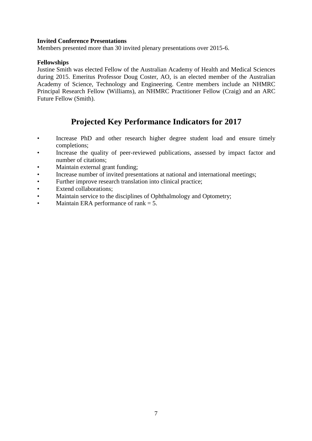#### **Invited Conference Presentations**

Members presented more than 30 invited plenary presentations over 2015-6.

#### **Fellowships**

Justine Smith was elected Fellow of the Australian Academy of Health and Medical Sciences during 2015. Emeritus Professor Doug Coster, AO, is an elected member of the Australian Academy of Science, Technology and Engineering. Centre members include an NHMRC Principal Research Fellow (Williams), an NHMRC Practitioner Fellow (Craig) and an ARC Future Fellow (Smith).

## **Projected Key Performance Indicators for 2017**

- Increase PhD and other research higher degree student load and ensure timely completions;
- Increase the quality of peer-reviewed publications, assessed by impact factor and number of citations;
- Maintain external grant funding;
- Increase number of invited presentations at national and international meetings;
- Further improve research translation into clinical practice;<br>• Extend collaborations:
- Extend collaborations:
- Maintain service to the disciplines of Ophthalmology and Optometry;
- Maintain ERA performance of rank = 5.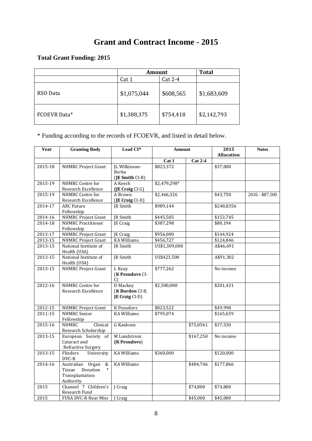## **Grant and Contract Income - 2015**

### **Total Grant Funding: 2015**

|                     | <b>Amount</b> | <b>Total</b> |             |
|---------------------|---------------|--------------|-------------|
|                     | Cat 1         | Cat 2-4      |             |
| RSO Data            | \$1,075,044   | \$608,565    | \$1,683,609 |
| <b>FCOEVR Data*</b> | \$1,388,375   | \$754,418    | \$2,142,793 |

\* Funding according to the records of FCOEVR, and listed in detail below.

| Year    | <b>Granting Body</b>                                                                        | Lead CI*                                             | <b>Amount</b> |                | 2015<br>Allocation | <b>Notes</b>    |
|---------|---------------------------------------------------------------------------------------------|------------------------------------------------------|---------------|----------------|--------------------|-----------------|
|         |                                                                                             |                                                      | Cat 1         | <b>Cat 2-4</b> |                    |                 |
| 2015-18 | <b>NHMRC Project Grant</b>                                                                  | JL Wilkinson-<br><b>Berka</b><br>(JE Smith CI-B)     | \$823,372     |                | \$37,000           |                 |
| 2015-19 | <b>NHMRC</b> Centre for<br>Research Excellence                                              | A Keech<br>(JE Craig CI-G)                           | \$2,479,298*  |                |                    |                 |
| 2015-19 | <b>NHMRC</b> Centre for<br>Research Excellence                                              | A Brown<br>(JE Craig CI-H)                           | \$2,466,326   |                | \$43,750           | 2016 - \$87,500 |
| 2014-17 | <b>ARC Future</b><br>Fellowship                                                             | JR Smith                                             | \$989,144     |                | \$248,8356         |                 |
| 2014-16 | <b>NHMRC Project Grant</b>                                                                  | <b>IR</b> Smith                                      | \$445,505     |                | \$153,745          |                 |
| 2014-18 | <b>NHMRC Practitioner</b><br>Fellowship                                                     | JE Craig                                             | \$387,298     |                | \$80,194           |                 |
| 2013-17 | <b>NHMRC Project Grant</b>                                                                  | JE Craig                                             | \$956,000     |                | \$144,924          |                 |
| 2013-15 | <b>NHMRC Project Grant</b>                                                                  | <b>KA Williams</b>                                   | \$456,727     |                | \$124,846          |                 |
| 2013-15 | National Institute of<br>Health (USA)                                                       | JR Smith                                             | US\$1,309,000 |                | A\$46,691          |                 |
| 2013-15 | National Institute of<br>Health (USA)                                                       | JR Smith                                             | US\$423,500   |                | A\$91,302          |                 |
| 2013-15 | <b>NHMRC Project Grant</b>                                                                  | L Keay<br>(K Pesudovs CI-<br>$\mathcal{C}$           | \$777,262     |                | No income          |                 |
| 2012-16 | NHMRC Centre for<br>Research Excellence                                                     | <b>D</b> Mackey<br>(K Burdon CI-B,<br>JE Craig CI-D) | \$2,500,000   |                | \$201,431          |                 |
| 2012-15 | <b>NHMRC Project Grant</b>                                                                  | <b>K</b> Pesudovs                                    | \$823,522     |                | \$49,998           |                 |
| 2011-15 | <b>NHMRC</b> Senior<br>Fellowship                                                           | <b>KA Williams</b>                                   | \$795,074     |                | \$165,659          |                 |
| 2015-16 | <b>NHMRC</b><br>Clinical<br>Research Scholarship                                            | G Kaidonis                                           |               | \$75,0561      | \$37,530           |                 |
| 2013-15 | European Society of<br>Cataract and<br>Refractive Surgery                                   | M Lundstrom<br>(K Pesudovs)                          |               | \$167,250      | No income          |                 |
| 2013-15 | Flinders<br>University<br>DVC-R                                                             | <b>KA Williams</b>                                   | \$360,000     |                | \$120,000          |                 |
| 2014-16 | Australian<br>Organ<br>$\&$<br>Donation<br>Tissue<br>$\ast$<br>Transplantation<br>Authority | <b>KA Williams</b>                                   |               | \$484,746      | \$177,866          |                 |
| 2015    | Channel 7 Children's<br>Research Fund                                                       | J Craig                                              |               | \$74,800       | \$74,800           |                 |
| 2015    | FUSA DVC-R Near Miss                                                                        | J Craig                                              |               | \$45,000       | \$45,000           |                 |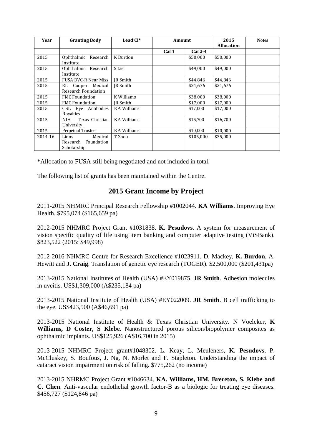| Year    | <b>Granting Body</b>                                   | Lead CI*           | Amount |           | 2015<br><b>Allocation</b> | <b>Notes</b> |
|---------|--------------------------------------------------------|--------------------|--------|-----------|---------------------------|--------------|
|         |                                                        |                    | Cat 1  | $Cat 2-4$ |                           |              |
| 2015    | Ophthalmic Research<br>Institute                       | K Burdon           |        | \$50,000  | \$50,000                  |              |
| 2015    | Ophthalmic Research<br>Institute                       | S Lie              |        | \$49,000  | \$49,000                  |              |
| 2015    | FUSA DVC-R Near Miss                                   | JR Smith           |        | \$44,846  | \$44,846                  |              |
| 2015    | Cooper Medical<br>RL<br><b>Research Foundation</b>     | JR Smith           |        | \$21,676  | \$21,676                  |              |
| 2015    | <b>FMC Foundation</b>                                  | K Williams         |        | \$38,000  | \$38,000                  |              |
| 2015    | <b>FMC Foundation</b>                                  | <b>IR</b> Smith    |        | \$17,000  | \$17,000                  |              |
| 2015    | CSL Eye Antibodies<br>Royalties                        | <b>KA Williams</b> |        | \$17,000  | \$17,000                  |              |
| 2015    | NIH - Texas Christian<br>University                    | <b>KA Williams</b> |        | \$16,700  | \$16,700                  |              |
| 2015    | Perpetual Trustee                                      | <b>KA Williams</b> |        | \$10,000  | \$10,000                  |              |
| 2014-16 | Medical<br>Lions<br>Research Foundation<br>Scholarship | T Zhou             |        | \$105,000 | \$35,000                  |              |

\*Allocation to FUSA still being negotiated and not included in total.

The following list of grants has been maintained within the Centre.

#### **2015 Grant Income by Project**

2011-2015 NHMRC Principal Research Fellowship #1002044. **KA Williams**. Improving Eye Health. \$795,074 (\$165,659 pa)

2012-2015 NHMRC Project Grant #1031838. **K. Pesudovs**. A system for measurement of vision specific quality of life using item banking and computer adaptive testing (ViSBank). \$823,522 (2015: \$49,998)

2012-2016 NHMRC Centre for Research Excellence #1023911. D. Mackey, **K. Burdon**, A. Hewitt and **J. Craig**. Translation of genetic eye research (TOGER). \$2,500,000 (\$201,431pa)

2013-2015 National Institutes of Health (USA) #EY019875. **JR Smith**. Adhesion molecules in uveitis. US\$1,309,000 (A\$235,184 pa)

2013-2015 National Institute of Health (USA) #EY022009. **JR Smith**. B cell trafficking to the eye. US\$423,500 (A\$46,691 pa)

2013-2015 National Institute of Health & Texas Christian University. N Voelcker, **K Williams, D Coster, S Klebe**. Nanostructured porous silicon/biopolymer composites as ophthalmic implants. US\$125,926 (A\$16,700 in 2015)

2013-2015 NHMRC Project grant#1048302. L. Keay, L. Meuleners, **K. Pesudovs**, P. McCluskey, S. Boufous, J. Ng, N. Morlet and F. Stapleton. Understanding the impact of cataract vision impairment on risk of falling. \$775,262 (no income)

2013-2015 NHRMC Project Grant #1046634. **KA. Williams, HM. Brereton, S. Klebe and C. Chen**. Anti-vascular endothelial growth factor-B as a biologic for treating eye diseases. \$456,727 (\$124,846 pa)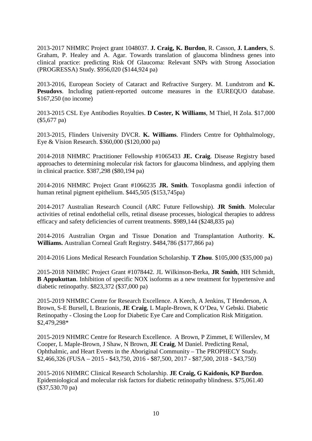2013-2017 NHMRC Project grant 1048037. **J. Craig, K. Burdon**, R. Casson, **J. Landers**, S. Graham, P. Healey and A. Agar. Towards translation of glaucoma blindness genes into clinical practice: predicting Risk Of Glaucoma: Relevant SNPs with Strong Association (PROGRESSA) Study. \$956,020 (\$144,924 pa)

2013-2016, European Society of Cataract and Refractive Surgery. M. Lundstrom and **K. Pesudovs**. Including patient-reported outcome measures in the EUREQUO database. \$167,250 (no income)

2013-2015 CSL Eye Antibodies Royalties. **D Coster, K Williams**, M Thiel, H Zola. \$17,000 (\$5,677 pa)

2013-2015, Flinders University DVCR. **K. Williams**. Flinders Centre for Ophthalmology, Eye & Vision Research. \$360,000 (\$120,000 pa)

2014-2018 NHMRC Practitioner Fellowship #1065433 **JE. Craig**. Disease Registry based approaches to determining molecular risk factors for glaucoma blindness, and applying them in clinical practice. \$387,298 (\$80,194 pa)

2014-2016 NHMRC Project Grant #1066235 **JR. Smith**. Toxoplasma gondii infection of human retinal pigment epithelium. \$445,505 (\$153,745pa)

2014-2017 Australian Research Council (ARC Future Fellowship). **JR Smith**. Molecular activities of retinal endothelial cells, retinal disease processes, biological therapies to address efficacy and safety deficiencies of current treatments. \$989,144 (\$248,835 pa)

2014-2016 Australian Organ and Tissue Donation and Transplantation Authority. **K. Williams.** Australian Corneal Graft Registry. \$484,786 (\$177,866 pa)

2014-2016 Lions Medical Research Foundation Scholarship. **T Zhou**. \$105,000 (\$35,000 pa)

2015-2018 NHMRC Project Grant #1078442. JL Wilkinson-Berka, **JR Smith**, HH Schmidt, **B Appukuttan**. Inhibition of specific NOX isoforms as a new treatment for hypertensive and diabetic retinopathy. \$823,372 (\$37,000 pa)

2015-2019 NHMRC Centre for Research Excellence. A Keech, A Jenkins, T Henderson, A Brown, S-E Bursell, L Brazionis, **JE Craig**, L Maple-Brown, K O'Dea, V Gebski. Diabetic Retinopathy - Closing the Loop for Diabetic Eye Care and Complication Risk Mitigation. \$2,479,298\*

2015-2019 NHMRC Centre for Research Excellence. A Brown, P Zimmet, E Willerslev, M Cooper, L Maple-Brown, J Shaw, N Brown, **JE Craig**, M Daniel. Predicting Renal, Ophthalmic, and Heart Events in the Aboriginal Community – The PROPHECY Study. \$2,466,326 (FUSA – 2015 - \$43,750, 2016 - \$87,500, 2017 - \$87,500, 2018 - \$43,750)

2015-2016 NHMRC Clinical Research Scholarship. **JE Craig, G Kaidonis, KP Burdon**. Epidemiological and molecular risk factors for diabetic retinopathy blindness. \$75,061.40 (\$37,530.70 pa)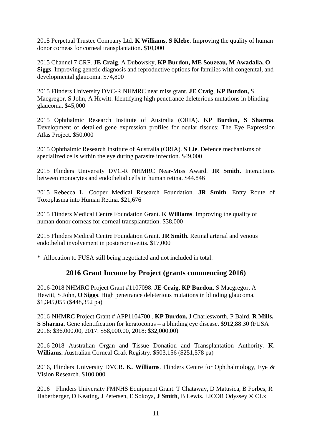2015 Perpetual Trustee Company Ltd. **K Williams, S Klebe**. Improving the quality of human donor corneas for corneal transplantation. \$10,000

2015 Channel 7 CRF. **JE Craig**, A Dubowsky, **KP Burdon, ME Souzeau, M Awadalla, O Siggs**. Improving genetic diagnosis and reproductive options for families with congenital, and developmental glaucoma. \$74,800

2015 Flinders University DVC-R NHMRC near miss grant. **JE Craig**, **KP Burdon,** S Macgregor, S John, A Hewitt. Identifying high penetrance deleterious mutations in blinding glaucoma. \$45,000

2015 Ophthalmic Research Institute of Australia (ORIA). **KP Burdon, S Sharma**. Development of detailed gene expression profiles for ocular tissues: The Eye Expression Atlas Project. \$50,000

2015 Ophthalmic Research Institute of Australia (ORIA). **S Lie**. Defence mechanisms of specialized cells within the eye during parasite infection. \$49,000

2015 Flinders University DVC-R NHMRC Near-Miss Award. **JR Smith.** Interactions between monocytes and endothelial cells in human retina. \$44.846

2015 Rebecca L. Cooper Medical Research Foundation. **JR Smith**. Entry Route of Toxoplasma into Human Retina. \$21,676

2015 Flinders Medical Centre Foundation Grant. **K Williams**. Improving the quality of human donor corneas for corneal transplantation. \$38,000

2015 Flinders Medical Centre Foundation Grant. **JR Smith.** Retinal arterial and venous endothelial involvement in posterior uveitis. \$17,000

\* Allocation to FUSA still being negotiated and not included in total.

#### **2016 Grant Income by Project (grants commencing 2016)**

2016-2018 NHMRC Project Grant #1107098. **JE Craig, KP Burdon,** S Macgregor, A Hewitt, S John, **O Siggs**. High penetrance deleterious mutations in blinding glaucoma. \$1,345,055 (\$448,352 pa)

2016-NHMRC Project Grant # APP1104700 . **KP Burdon,** J Charlesworth, P Baird, **R Mills, S Sharma**. Gene identification for keratoconus – a blinding eye disease. \$912,88.30 (FUSA 2016: \$36,000.00, 2017: \$58,000.00, 2018: \$32,000.00)

2016-2018 Australian Organ and Tissue Donation and Transplantation Authority. **K. Williams.** Australian Corneal Graft Registry. \$503,156 (\$251,578 pa)

2016, Flinders University DVCR. **K. Williams**. Flinders Centre for Ophthalmology, Eye & Vision Research. \$100,000

2016 Flinders University FMNHS Equipment Grant. T Chataway, D Matusica, B Forbes, R Haberberger, D Keating, J Petersen, E Sokoya, **J Smith**, B Lewis. LICOR Odyssey ® CLx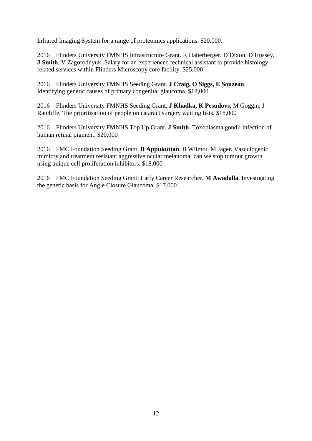Infrared Imaging System for a range of proteomics applications. \$20,000.

2016 Flinders University FMNHS Infrastructure Grant. R Haberberger, D Dixon, D Hussey, **J Smith**, V Zagorodnyuk. Salary for an experienced technical assistant to provide histologyrelated services within Flinders Microscopy core facility. \$25,000

2016 Flinders University FMNHS Seeding Grant. **J Craig, O Siggs, E Souzeau**. Identifying genetic causes of primary congenital glaucoma. \$18,000

2016 Flinders University FMNHS Seeding Grant. **J Khadka, K Pesudovs**, M Goggin, J Ratcliffe. The prioritisation of people on cataract surgery waiting lists. \$18,000

2016 Flinders University FMNHS Top Up Grant. **J Smith**. Toxoplasma gondii infection of human retinal pigment. \$20,000

2016 FMC Foundation Seeding Grant. **B Appukuttan**, B Wilmot, M Jager. Vasculogenic mimicry and treatment resistant aggressive ocular melanoma: can we stop tumour growth using unique cell proliferation inhibitors. \$18,000

2016 FMC Foundation Seeding Grant: Early Career Researcher. **M Awadalla**. Investigating the genetic basis for Angle Closure Glaucoma. \$17,000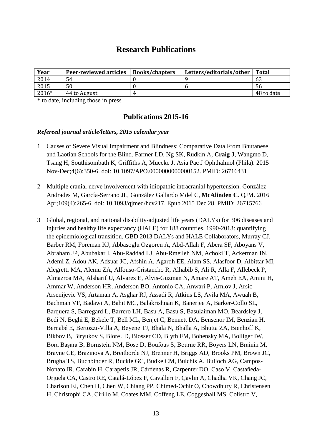### **Research Publications**

| Year  | <b>Peer-reviewed articles</b> | <b>Books/chapters</b> | Letters/editorials/other | Total      |
|-------|-------------------------------|-----------------------|--------------------------|------------|
| 2014  | 54                            |                       |                          | 63         |
| 2015  | 50                            |                       |                          | 56         |
| 2016* | 44 to August                  |                       |                          | 48 to date |

\* to date, including those in press

#### **Publications 2015-16**

#### *Refereed journal article/letters, 2015 calendar year*

- 1 Causes of Severe Visual Impairment and Blindness: Comparative Data From Bhutanese and Laotian Schools for the Blind. Farmer LD, Ng SK, Rudkin A, **Craig J**, Wangmo D, Tsang H, Southisombath K, Griffiths A, Muecke J. Asia Pac J Ophthalmol (Phila). 2015 Nov-Dec;4(6):350-6. doi: 10.1097/APO.0000000000000152. PMID: 26716431
- 2 Multiple cranial nerve involvement with idiopathic intracranial hypertension. González-Andrades M, García-Serrano JL, González Gallardo Mdel C, **McAlinden C**. QJM. 2016 Apr;109(4):265-6. doi: 10.1093/qjmed/hcv217. Epub 2015 Dec 28. PMID: 26715766
- 3 Global, regional, and national disability-adjusted life years (DALYs) for 306 diseases and injuries and healthy life expectancy (HALE) for 188 countries, 1990-2013: quantifying the epidemiological transition. GBD 2013 DALYs and HALE Collaborators, Murray CJ, Barber RM, Foreman KJ, Abbasoglu Ozgoren A, Abd-Allah F, Abera SF, Aboyans V, Abraham JP, Abubakar I, Abu-Raddad LJ, Abu-Rmeileh NM, Achoki T, Ackerman IN, Ademi Z, Adou AK, Adsuar JC, Afshin A, Agardh EE, Alam SS, Alasfoor D, Albittar MI, Alegretti MA, Alemu ZA, Alfonso-Cristancho R, Alhabib S, Ali R, Alla F, Allebeck P, Almazroa MA, Alsharif U, Alvarez E, Alvis-Guzman N, Amare AT, Ameh EA, Amini H, Ammar W, Anderson HR, Anderson BO, Antonio CA, Anwari P, Arnlöv J, Arsic Arsenijevic VS, Artaman A, Asghar RJ, Assadi R, Atkins LS, Avila MA, Awuah B, Bachman VF, Badawi A, Bahit MC, Balakrishnan K, Banerjee A, Barker-Collo SL, Barquera S, Barregard L, Barrero LH, Basu A, Basu S, Basulaiman MO, Beardsley J, Bedi N, Beghi E, Bekele T, Bell ML, Benjet C, Bennett DA, Bensenor IM, Benzian H, Bernabé E, Bertozzi-Villa A, Beyene TJ, Bhala N, Bhalla A, Bhutta ZA, Bienhoff K, Bikbov B, Biryukov S, Blore JD, Blosser CD, Blyth FM, Bohensky MA, Bolliger IW, Bora Başara B, Bornstein NM, Bose D, Boufous S, Bourne RR, Boyers LN, Brainin M, Brayne CE, Brazinova A, Breitborde NJ, Brenner H, Briggs AD, Brooks PM, Brown JC, Brugha TS, Buchbinder R, Buckle GC, Budke CM, Bulchis A, Bulloch AG, Campos-Nonato IR, Carabin H, Carapetis JR, Cárdenas R, Carpenter DO, Caso V, Castañeda-Orjuela CA, Castro RE, Catalá-López F, Cavalleri F, Çavlin A, Chadha VK, Chang JC, Charlson FJ, Chen H, Chen W, Chiang PP, Chimed-Ochir O, Chowdhury R, Christensen H, Christophi CA, Cirillo M, Coates MM, Coffeng LE, Coggeshall MS, Colistro V,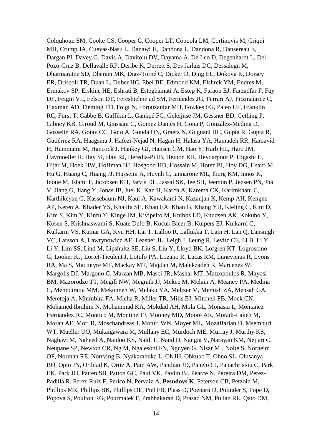Colquhoun SM, Cooke GS, Cooper C, Cooper LT, Coppola LM, Cortinovis M, Criqui MH, Crump JA, Cuevas-Nasu L, Danawi H, Dandona L, Dandona R, Dansereau E, Dargan PI, Davey G, Davis A, Davitoiu DV, Dayama A, De Leo D, Degenhardt L, Del Pozo-Cruz B, Dellavalle RP, Deribe K, Derrett S, Des Jarlais DC, Dessalegn M, Dharmaratne SD, Dherani MK, Diaz-Torné C, Dicker D, Ding EL, Dokova K, Dorsey ER, Driscoll TR, Duan L, Duber HC, Ebel BE, Edmond KM, Elshrek YM, Endres M, Ermakov SP, Erskine HE, Eshrati B, Esteghamati A, Estep K, Faraon EJ, Farzadfar F, Fay DF, Feigin VL, Felson DT, Fereshtehnejad SM, Fernandes JG, Ferrari AJ, Fitzmaurice C, Flaxman AD, Fleming TD, Foigt N, Forouzanfar MH, Fowkes FG, Paleo UF, Franklin RC, Fürst T, Gabbe B, Gaffikin L, Gankpé FG, Geleijnse JM, Gessner BD, Gething P, Gibney KB, Giroud M, Giussani G, Gomez Dantes H, Gona P, González-Medina D, Gosselin RA, Gotay CC, Goto A, Gouda HN, Graetz N, Gugnani HC, Gupta R, Gupta R, Gutiérrez RA, Haagsma J, Hafezi-Nejad N, Hagan H, Halasa YA, Hamadeh RR, Hamavid H, Hammami M, Hancock J, Hankey GJ, Hansen GM, Hao Y, Harb HL, Haro JM, Havmoeller R, Hay SI, Hay RJ, Heredia-Pi IB, Heuton KR, Heydarpour P, Higashi H, Hijar M, Hoek HW, Hoffman HJ, Hosgood HD, Hossain M, Hotez PJ, Hoy DG, Hsairi M, Hu G, Huang C, Huang JJ, Husseini A, Huynh C, Iannarone ML, Iburg KM, Innos K, Inoue M, Islami F, Jacobsen KH, Jarvis DL, Jassal SK, Jee SH, Jeemon P, Jensen PN, Jha V, Jiang G, Jiang Y, Jonas JB, Juel K, Kan H, Karch A, Karema CK, Karimkhani C, Karthikeyan G, Kassebaum NJ, Kaul A, Kawakami N, Kazanjan K, Kemp AH, Kengne AP, Keren A, Khader YS, Khalifa SE, Khan EA, Khan G, Khang YH, Kieling C, Kim D, Kim S, Kim Y, Kinfu Y, Kinge JM, Kivipelto M, Knibbs LD, Knudsen AK, Kokubo Y, Kosen S, Krishnaswami S, Kuate Defo B, Kucuk Bicer B, Kuipers EJ, Kulkarni C, Kulkarni VS, Kumar GA, Kyu HH, Lai T, Lalloo R, Lallukka T, Lam H, Lan Q, Lansingh VC, Larsson A, Lawrynowicz AE, Leasher JL, Leigh J, Leung R, Levitz CE, Li B, Li Y, Li Y, Lim SS, Lind M, Lipshultz SE, Liu S, Liu Y, Lloyd BK, Lofgren KT, Logroscino G, Looker KJ, Lortet-Tieulent J, Lotufo PA, Lozano R, Lucas RM, Lunevicius R, Lyons RA, Ma S, Macintyre MF, Mackay MT, Majdan M, Malekzadeh R, Marcenes W, Margolis DJ, Margono C, Marzan MB, Masci JR, Mashal MT, Matzopoulos R, Mayosi BM, Mazorodze TT, Mcgill NW, Mcgrath JJ, Mckee M, Mclain A, Meaney PA, Medina C, Mehndiratta MM, Mekonnen W, Melaku YA, Meltzer M, Memish ZA, Mensah GA, Meretoja A, Mhimbira FA, Micha R, Miller TR, Mills EJ, Mitchell PB, Mock CN, Mohamed Ibrahim N, Mohammad KA, Mokdad AH, Mola GL, Monasta L, Montañez Hernandez JC, Montico M, Montine TJ, Mooney MD, Moore AR, Moradi-Lakeh M, Moran AE, Mori R, Moschandreas J, Moturi WN, Moyer ML, Mozaffarian D, Msemburi WT, Mueller UO, Mukaigawara M, Mullany EC, Murdoch ME, Murray J, Murthy KS, Naghavi M, Naheed A, Naidoo KS, Naldi L, Nand D, Nangia V, Narayan KM, Nejjari C, Neupane SP, Newton CR, Ng M, Ngalesoni FN, Nguyen G, Nisar MI, Nolte S, Norheim OF, Norman RE, Norrving B, Nyakarahuka L, Oh IH, Ohkubo T, Ohno SL, Olusanya BO, Opio JN, Ortblad K, Ortiz A, Pain AW, Pandian JD, Panelo CI, Papachristou C, Park EK, Park JH, Patten SB, Patton GC, Paul VK, Pavlin BI, Pearce N, Pereira DM, Perez-Padilla R, Perez-Ruiz F, Perico N, Pervaiz A, **Pesudovs K**, Peterson CB, Petzold M, Phillips MR, Phillips BK, Phillips DE, Piel FB, Plass D, Poenaru D, Polinder S, Pope D, Popova S, Poulton RG, Pourmalek F, Prabhakaran D, Prasad NM, Pullan RL, Qato DM,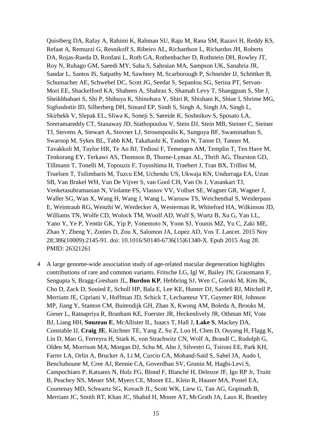Quistberg DA, Rafay A, Rahimi K, Rahman SU, Raju M, Rana SM, Razavi H, Reddy KS, Refaat A, Remuzzi G, Resnikoff S, Ribeiro AL, Richardson L, Richardus JH, Roberts DA, Rojas-Rueda D, Ronfani L, Roth GA, Rothenbacher D, Rothstein DH, Rowley JT, Roy N, Ruhago GM, Saeedi MY, Saha S, Sahraian MA, Sampson UK, Sanabria JR, Sandar L, Santos IS, Satpathy M, Sawhney M, Scarborough P, Schneider IJ, Schöttker B, Schumacher AE, Schwebel DC, Scott JG, Seedat S, Sepanlou SG, Serina PT, Servan-Mori EE, Shackelford KA, Shaheen A, Shahraz S, Shamah Levy T, Shangguan S, She J, Sheikhbahaei S, Shi P, Shibuya K, Shinohara Y, Shiri R, Shishani K, Shiue I, Shrime MG, Sigfusdottir ID, Silberberg DH, Simard EP, Sindi S, Singh A, Singh JA, Singh L, Skirbekk V, Slepak EL, Sliwa K, Soneji S, Søreide K, Soshnikov S, Sposato LA, Sreeramareddy CT, Stanaway JD, Stathopoulou V, Stein DJ, Stein MB, Steiner C, Steiner TJ, Stevens A, Stewart A, Stovner LJ, Stroumpoulis K, Sunguya BF, Swaminathan S, Swaroop M, Sykes BL, Tabb KM, Takahashi K, Tandon N, Tanne D, Tanner M, Tavakkoli M, Taylor HR, Te Ao BJ, Tediosi F, Temesgen AM, Templin T, Ten Have M, Tenkorang EY, Terkawi AS, Thomson B, Thorne-Lyman AL, Thrift AG, Thurston GD, Tillmann T, Tonelli M, Topouzis F, Toyoshima H, Traebert J, Tran BX, Trillini M, Truelsen T, Tsilimbaris M, Tuzcu EM, Uchendu US, Ukwaja KN, Undurraga EA, Uzun SB, Van Brakel WH, Van De Vijver S, van Gool CH, Van Os J, Vasankari TJ, Venketasubramanian N, Violante FS, Vlassov VV, Vollset SE, Wagner GR, Wagner J, Waller SG, Wan X, Wang H, Wang J, Wang L, Warouw TS, Weichenthal S, Weiderpass E, Weintraub RG, Wenzhi W, Werdecker A, Westerman R, Whiteford HA, Wilkinson JD, Williams TN, Wolfe CD, Wolock TM, Woolf AD, Wulf S, Wurtz B, Xu G, Yan LL, Yano Y, Ye P, Yentür GK, Yip P, Yonemoto N, Yoon SJ, Younis MZ, Yu C, Zaki ME, Zhao Y, Zheng Y, Zonies D, Zou X, Salomon JA, Lopez AD, Vos T. Lancet. 2015 Nov 28;386(10009):2145-91. doi: 10.1016/S0140-6736(15)61340-X. Epub 2015 Aug 28. PMID: 26321261

4 A large genome-wide association study of age-related macular degeneration highlights contributions of rare and common variants. Fritsche LG, Igl W, Bailey JN, Grassmann F, Sengupta S, Bragg-Gresham JL, **Burdon KP**, Hebbring SJ, Wen C, Gorski M, Kim IK, Cho D, Zack D, Souied E, Scholl HP, Bala E, Lee KE, Hunter DJ, Sardell RJ, Mitchell P, Merriam JE, Cipriani V, Hoffman JD, Schick T, Lechanteur YT, Guymer RH, Johnson MP, Jiang Y, Stanton CM, Buitendijk GH, Zhan X, Kwong AM, Boleda A, Brooks M, Gieser L, Ratnapriya R, Branham KE, Foerster JR, Heckenlively JR, Othman MI, Vote BJ, Liang HH, **Souzeau E**, McAllister IL, Isaacs T, Hall J, **Lake S**, Mackey DA, Constable IJ, **Craig JE**, Kitchner TE, Yang Z, Su Z, Luo H, Chen D, Ouyang H, Flagg K, Lin D, Mao G, Ferreyra H, Stark K, von Strachwitz CN, Wolf A, Brandl C, Rudolph G, Olden M, Morrison MA, Morgan DJ, Schu M, Ahn J, Silvestri G, Tsironi EE, Park KH, Farrer LA, Orlin A, Brucker A, Li M, Curcio CA, Mohand-Saïd S, Sahel JA, Audo I, Benchaboune M, Cree AJ, Rennie CA, Goverdhan SV, Grunin M, Hagbi-Levi S, Campochiaro P, Katsanis N, Holz FG, Blond F, Blanché H, Deleuze JF, Igo RP Jr, Truitt B, Peachey NS, Meuer SM, Myers CE, Moore EL, Klein R, Hauser MA, Postel EA, Courtenay MD, Schwartz SG, Kovach JL, Scott WK, Liew G, Tan AG, Gopinath B, Merriam JC, Smith RT, Khan JC, Shahid H, Moore AT, McGrath JA, Laux R, Brantley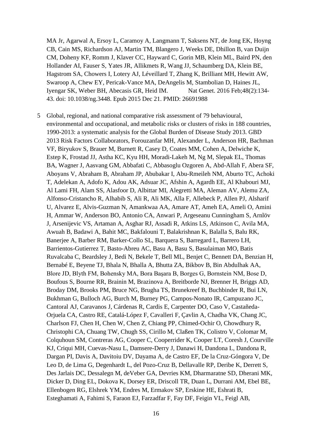MA Jr, Agarwal A, Ersoy L, Caramoy A, Langmann T, Saksens NT, de Jong EK, Hoyng CB, Cain MS, Richardson AJ, Martin TM, Blangero J, Weeks DE, Dhillon B, van Duijn CM, Doheny KF, Romm J, Klaver CC, Hayward C, Gorin MB, Klein ML, Baird PN, den Hollander AI, Fauser S, Yates JR, Allikmets R, Wang JJ, Schaumberg DA, Klein BE, Hagstrom SA, Chowers I, Lotery AJ, Léveillard T, Zhang K, Brilliant MH, Hewitt AW, Swaroop A, Chew EY, Pericak-Vance MA, DeAngelis M, Stambolian D, Haines JL, Iyengar SK, Weber BH, Abecasis GR, Heid IM. Nat Genet. 2016 Feb; 48(2): 134-43. doi: 10.1038/ng.3448. Epub 2015 Dec 21. PMID: 26691988

5 Global, regional, and national comparative risk assessment of 79 behavioural, environmental and occupational, and metabolic risks or clusters of risks in 188 countries, 1990-2013: a systematic analysis for the Global Burden of Disease Study 2013. GBD 2013 Risk Factors Collaborators, Forouzanfar MH, Alexander L, Anderson HR, Bachman VF, Biryukov S, Brauer M, Burnett R, Casey D, Coates MM, Cohen A, Delwiche K, Estep K, Frostad JJ, Astha KC, Kyu HH, Moradi-Lakeh M, Ng M, Slepak EL, Thomas BA, Wagner J, Aasvang GM, Abbafati C, Abbasoglu Ozgoren A, Abd-Allah F, Abera SF, Aboyans V, Abraham B, Abraham JP, Abubakar I, Abu-Rmeileh NM, Aburto TC, Achoki T, Adelekan A, Adofo K, Adou AK, Adsuar JC, Afshin A, Agardh EE, Al Khabouri MJ, Al Lami FH, Alam SS, Alasfoor D, Albittar MI, Alegretti MA, Aleman AV, Alemu ZA, Alfonso-Cristancho R, Alhabib S, Ali R, Ali MK, Alla F, Allebeck P, Allen PJ, Alsharif U, Alvarez E, Alvis-Guzman N, Amankwaa AA, Amare AT, Ameh EA, Ameli O, Amini H, Ammar W, Anderson BO, Antonio CA, Anwari P, Argeseanu Cunningham S, Arnlöv J, Arsenijevic VS, Artaman A, Asghar RJ, Assadi R, Atkins LS, Atkinson C, Avila MA, Awuah B, Badawi A, Bahit MC, Bakfalouni T, Balakrishnan K, Balalla S, Balu RK, Banerjee A, Barber RM, Barker-Collo SL, Barquera S, Barregard L, Barrero LH, Barrientos-Gutierrez T, Basto-Abreu AC, Basu A, Basu S, Basulaiman MO, Batis Ruvalcaba C, Beardsley J, Bedi N, Bekele T, Bell ML, Benjet C, Bennett DA, Benzian H, Bernabé E, Beyene TJ, Bhala N, Bhalla A, Bhutta ZA, Bikbov B, Bin Abdulhak AA, Blore JD, Blyth FM, Bohensky MA, Bora Başara B, Borges G, Bornstein NM, Bose D, Boufous S, Bourne RR, Brainin M, Brazinova A, Breitborde NJ, Brenner H, Briggs AD, Broday DM, Brooks PM, Bruce NG, Brugha TS, Brunekreef B, Buchbinder R, Bui LN, Bukhman G, Bulloch AG, Burch M, Burney PG, Campos-Nonato IR, Campuzano JC, Cantoral AJ, Caravanos J, Cárdenas R, Cardis E, Carpenter DO, Caso V, Castañeda-Orjuela CA, Castro RE, Catalá-López F, Cavalleri F, Çavlin A, Chadha VK, Chang JC, Charlson FJ, Chen H, Chen W, Chen Z, Chiang PP, Chimed-Ochir O, Chowdhury R, Christophi CA, Chuang TW, Chugh SS, Cirillo M, Claßen TK, Colistro V, Colomar M, Colquhoun SM, Contreras AG, Cooper C, Cooperrider K, Cooper LT, Coresh J, Courville KJ, Criqui MH, Cuevas-Nasu L, Damsere-Derry J, Danawi H, Dandona L, Dandona R, Dargan PI, Davis A, Davitoiu DV, Dayama A, de Castro EF, De la Cruz-Góngora V, De Leo D, de Lima G, Degenhardt L, del Pozo-Cruz B, Dellavalle RP, Deribe K, Derrett S, Des Jarlais DC, Dessalegn M, deVeber GA, Devries KM, Dharmaratne SD, Dherani MK, Dicker D, Ding EL, Dokova K, Dorsey ER, Driscoll TR, Duan L, Durrani AM, Ebel BE, Ellenbogen RG, Elshrek YM, Endres M, Ermakov SP, Erskine HE, Eshrati B, Esteghamati A, Fahimi S, Faraon EJ, Farzadfar F, Fay DF, Feigin VL, Feigl AB,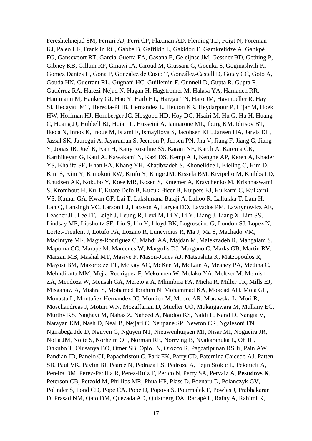Fereshtehnejad SM, Ferrari AJ, Ferri CP, Flaxman AD, Fleming TD, Foigt N, Foreman KJ, Paleo UF, Franklin RC, Gabbe B, Gaffikin L, Gakidou E, Gamkrelidze A, Gankpé FG, Gansevoort RT, García-Guerra FA, Gasana E, Geleijnse JM, Gessner BD, Gething P, Gibney KB, Gillum RF, Ginawi IA, Giroud M, Giussani G, Goenka S, Goginashvili K, Gomez Dantes H, Gona P, Gonzalez de Cosio T, González-Castell D, Gotay CC, Goto A, Gouda HN, Guerrant RL, Gugnani HC, Guillemin F, Gunnell D, Gupta R, Gupta R, Gutiérrez RA, Hafezi-Nejad N, Hagan H, Hagstromer M, Halasa YA, Hamadeh RR, Hammami M, Hankey GJ, Hao Y, Harb HL, Haregu TN, Haro JM, Havmoeller R, Hay SI, Hedayati MT, Heredia-Pi IB, Hernandez L, Heuton KR, Heydarpour P, Hijar M, Hoek HW, Hoffman HJ, Hornberger JC, Hosgood HD, Hoy DG, Hsairi M, Hu G, Hu H, Huang C, Huang JJ, Hubbell BJ, Huiart L, Husseini A, Iannarone ML, Iburg KM, Idrisov BT, Ikeda N, Innos K, Inoue M, Islami F, Ismayilova S, Jacobsen KH, Jansen HA, Jarvis DL, Jassal SK, Jauregui A, Jayaraman S, Jeemon P, Jensen PN, Jha V, Jiang F, Jiang G, Jiang Y, Jonas JB, Juel K, Kan H, Kany Roseline SS, Karam NE, Karch A, Karema CK, Karthikeyan G, Kaul A, Kawakami N, Kazi DS, Kemp AH, Kengne AP, Keren A, Khader YS, Khalifa SE, Khan EA, Khang YH, Khatibzadeh S, Khonelidze I, Kieling C, Kim D, Kim S, Kim Y, Kimokoti RW, Kinfu Y, Kinge JM, Kissela BM, Kivipelto M, Knibbs LD, Knudsen AK, Kokubo Y, Kose MR, Kosen S, Kraemer A, Kravchenko M, Krishnaswami S, Kromhout H, Ku T, Kuate Defo B, Kucuk Bicer B, Kuipers EJ, Kulkarni C, Kulkarni VS, Kumar GA, Kwan GF, Lai T, Lakshmana Balaji A, Lalloo R, Lallukka T, Lam H, Lan Q, Lansingh VC, Larson HJ, Larsson A, Laryea DO, Lavados PM, Lawrynowicz AE, Leasher JL, Lee JT, Leigh J, Leung R, Levi M, Li Y, Li Y, Liang J, Liang X, Lim SS, Lindsay MP, Lipshultz SE, Liu S, Liu Y, Lloyd BK, Logroscino G, London SJ, Lopez N, Lortet-Tieulent J, Lotufo PA, Lozano R, Lunevicius R, Ma J, Ma S, Machado VM, MacIntyre MF, Magis-Rodriguez C, Mahdi AA, Majdan M, Malekzadeh R, Mangalam S, Mapoma CC, Marape M, Marcenes W, Margolis DJ, Margono C, Marks GB, Martin RV, Marzan MB, Mashal MT, Masiye F, Mason-Jones AJ, Matsushita K, Matzopoulos R, Mayosi BM, Mazorodze TT, McKay AC, McKee M, McLain A, Meaney PA, Medina C, Mehndiratta MM, Mejia-Rodriguez F, Mekonnen W, Melaku YA, Meltzer M, Memish ZA, Mendoza W, Mensah GA, Meretoja A, Mhimbira FA, Micha R, Miller TR, Mills EJ, Misganaw A, Mishra S, Mohamed Ibrahim N, Mohammad KA, Mokdad AH, Mola GL, Monasta L, Montañez Hernandez JC, Montico M, Moore AR, Morawska L, Mori R, Moschandreas J, Moturi WN, Mozaffarian D, Mueller UO, Mukaigawara M, Mullany EC, Murthy KS, Naghavi M, Nahas Z, Naheed A, Naidoo KS, Naldi L, Nand D, Nangia V, Narayan KM, Nash D, Neal B, Nejjari C, Neupane SP, Newton CR, Ngalesoni FN, Ngirabega Jde D, Nguyen G, Nguyen NT, Nieuwenhuijsen MJ, Nisar MI, Nogueira JR, Nolla JM, Nolte S, Norheim OF, Norman RE, Norrving B, Nyakarahuka L, Oh IH, Ohkubo T, Olusanya BO, Omer SB, Opio JN, Orozco R, Pagcatipunan RS Jr, Pain AW, Pandian JD, Panelo CI, Papachristou C, Park EK, Parry CD, Paternina Caicedo AJ, Patten SB, Paul VK, Pavlin BI, Pearce N, Pedraza LS, Pedroza A, Pejin Stokic L, Pekericli A, Pereira DM, Perez-Padilla R, Perez-Ruiz F, Perico N, Perry SA, Pervaiz A, **Pesudovs K**, Peterson CB, Petzold M, Phillips MR, Phua HP, Plass D, Poenaru D, Polanczyk GV, Polinder S, Pond CD, Pope CA, Pope D, Popova S, Pourmalek F, Powles J, Prabhakaran D, Prasad NM, Qato DM, Quezada AD, Quistberg DA, Racapé L, Rafay A, Rahimi K,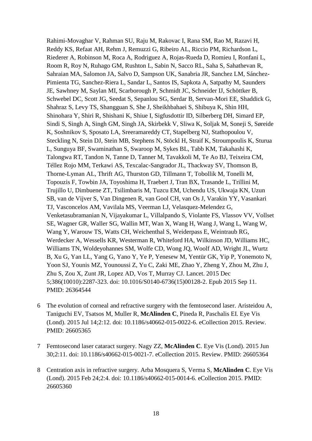Rahimi-Movaghar V, Rahman SU, Raju M, Rakovac I, Rana SM, Rao M, Razavi H, Reddy KS, Refaat AH, Rehm J, Remuzzi G, Ribeiro AL, Riccio PM, Richardson L, Riederer A, Robinson M, Roca A, Rodriguez A, Rojas-Rueda D, Romieu I, Ronfani L, Room R, Roy N, Ruhago GM, Rushton L, Sabin N, Sacco RL, Saha S, Sahathevan R, Sahraian MA, Salomon JA, Salvo D, Sampson UK, Sanabria JR, Sanchez LM, Sánchez-Pimienta TG, Sanchez-Riera L, Sandar L, Santos IS, Sapkota A, Satpathy M, Saunders JE, Sawhney M, Saylan MI, Scarborough P, Schmidt JC, Schneider IJ, Schöttker B, Schwebel DC, Scott JG, Seedat S, Sepanlou SG, Serdar B, Servan-Mori EE, Shaddick G, Shahraz S, Levy TS, Shangguan S, She J, Sheikhbahaei S, Shibuya K, Shin HH, Shinohara Y, Shiri R, Shishani K, Shiue I, Sigfusdottir ID, Silberberg DH, Simard EP, Sindi S, Singh A, Singh GM, Singh JA, Skirbekk V, Sliwa K, Soljak M, Soneji S, Søreide K, Soshnikov S, Sposato LA, Sreeramareddy CT, Stapelberg NJ, Stathopoulou V, Steckling N, Stein DJ, Stein MB, Stephens N, Stöckl H, Straif K, Stroumpoulis K, Sturua L, Sunguya BF, Swaminathan S, Swaroop M, Sykes BL, Tabb KM, Takahashi K, Talongwa RT, Tandon N, Tanne D, Tanner M, Tavakkoli M, Te Ao BJ, Teixeira CM, Téllez Rojo MM, Terkawi AS, Texcalac-Sangrador JL, Thackway SV, Thomson B, Thorne-Lyman AL, Thrift AG, Thurston GD, Tillmann T, Tobollik M, Tonelli M, Topouzis F, Towbin JA, Toyoshima H, Traebert J, Tran BX, Trasande L, Trillini M, Trujillo U, Dimbuene ZT, Tsilimbaris M, Tuzcu EM, Uchendu US, Ukwaja KN, Uzun SB, van de Vijver S, Van Dingenen R, van Gool CH, van Os J, Varakin YY, Vasankari TJ, Vasconcelos AM, Vavilala MS, Veerman LJ, Velasquez-Melendez G, Venketasubramanian N, Vijayakumar L, Villalpando S, Violante FS, Vlassov VV, Vollset SE, Wagner GR, Waller SG, Wallin MT, Wan X, Wang H, Wang J, Wang L, Wang W, Wang Y, Warouw TS, Watts CH, Weichenthal S, Weiderpass E, Weintraub RG, Werdecker A, Wessells KR, Westerman R, Whiteford HA, Wilkinson JD, Williams HC, Williams TN, Woldeyohannes SM, Wolfe CD, Wong JQ, Woolf AD, Wright JL, Wurtz B, Xu G, Yan LL, Yang G, Yano Y, Ye P, Yenesew M, Yentür GK, Yip P, Yonemoto N, Yoon SJ, Younis MZ, Younoussi Z, Yu C, Zaki ME, Zhao Y, Zheng Y, Zhou M, Zhu J, Zhu S, Zou X, Zunt JR, Lopez AD, Vos T, Murray CJ. Lancet. 2015 Dec 5;386(10010):2287-323. doi: 10.1016/S0140-6736(15)00128-2. Epub 2015 Sep 11. PMID: 26364544

- 6 The evolution of corneal and refractive surgery with the femtosecond laser. Aristeidou A, Taniguchi EV, Tsatsos M, Muller R, **McAlinden C**, Pineda R, Paschalis EI. Eye Vis (Lond). 2015 Jul 14;2:12. doi: 10.1186/s40662-015-0022-6. eCollection 2015. Review. PMID: 26605365
- 7 Femtosecond laser cataract surgery. Nagy ZZ, **McAlinden C**. Eye Vis (Lond). 2015 Jun 30;2:11. doi: 10.1186/s40662-015-0021-7. eCollection 2015. Review. PMID: 26605364
- 8 Centration axis in refractive surgery. Arba Mosquera S, Verma S, **McAlinden C**. Eye Vis (Lond). 2015 Feb 24;2:4. doi: 10.1186/s40662-015-0014-6. eCollection 2015. PMID: 26605360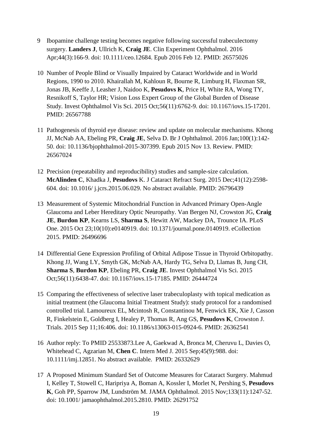- 9 Ibopamine challenge testing becomes negative following successful trabeculectomy surgery. **Landers J**, Ullrich K, **Craig JE**. Clin Experiment Ophthalmol. 2016 Apr;44(3):166-9. doi: 10.1111/ceo.12684. Epub 2016 Feb 12. PMID: 26575026
- 10 Number of People Blind or Visually Impaired by Cataract Worldwide and in World Regions, 1990 to 2010. Khairallah M, Kahloun R, Bourne R, Limburg H, Flaxman SR, Jonas JB, Keeffe J, Leasher J, Naidoo K, **Pesudovs K**, Price H, White RA, Wong TY, Resnikoff S, Taylor HR; Vision Loss Expert Group of the Global Burden of Disease Study. Invest Ophthalmol Vis Sci. 2015 Oct;56(11):6762-9. doi: 10.1167/iovs.15-17201. PMID: 26567788
- 11 Pathogenesis of thyroid eye disease: review and update on molecular mechanisms. Khong JJ, McNab AA, Ebeling PR, **Craig JE**, Selva D. Br J Ophthalmol. 2016 Jan;100(1):142- 50. doi: 10.1136/bjophthalmol-2015-307399. Epub 2015 Nov 13. Review. PMID: 26567024
- 12 Precision (repeatability and reproducibility) studies and sample-size calculation. **McAlinden C**, Khadka J, **Pesudovs** K. J Cataract Refract Surg. 2015 Dec;41(12):2598- 604. doi: 10.1016/ j.jcrs.2015.06.029. No abstract available. PMID: 26796439
- 13 Measurement of Systemic Mitochondrial Function in Advanced Primary Open-Angle Glaucoma and Leber Hereditary Optic Neuropathy. Van Bergen NJ, Crowston JG, **Craig JE**, **Burdon KP**, Kearns LS, **Sharma S**, Hewitt AW, Mackey DA, Trounce IA. PLoS One. 2015 Oct 23;10(10):e0140919. doi: 10.1371/journal.pone.0140919. eCollection 2015. PMID: 26496696
- 14 Differential Gene Expression Profiling of Orbital Adipose Tissue in Thyroid Orbitopathy. Khong JJ, Wang LY, Smyth GK, McNab AA, Hardy TG, Selva D, Llamas B, Jung CH, **Sharma S**, **Burdon KP**, Ebeling PR, **Craig JE**. Invest Ophthalmol Vis Sci. 2015 Oct;56(11):6438-47. doi: 10.1167/iovs.15-17185. PMID: 26444724
- 15 Comparing the effectiveness of selective laser trabeculoplasty with topical medication as initial treatment (the Glaucoma Initial Treatment Study): study protocol for a randomised controlled trial. Lamoureux EL, Mcintosh R, Constantinou M, Fenwick EK, Xie J, Casson R, Finkelstein E, Goldberg I, Healey P, Thomas R, Ang GS, **Pesudovs K**, Crowston J. Trials. 2015 Sep 11;16:406. doi: 10.1186/s13063-015-0924-6. PMID: 26362541
- 16 Author reply: To PMID 25533873.Lee A, Gaekwad A, Bronca M, Cheruvu L, Davies O, Whitehead C, Agzarian M, **Chen C**. Intern Med J. 2015 Sep;45(9):988. doi: 10.1111/imj.12851. No abstract available. PMID: 26332629
- 17 A Proposed Minimum Standard Set of Outcome Measures for Cataract Surgery. Mahmud I, Kelley T, Stowell C, Haripriya A, Boman A, Kossler I, Morlet N, Pershing S, **Pesudovs K**, Goh PP, Sparrow JM, Lundström M. JAMA Ophthalmol. 2015 Nov;133(11):1247-52. doi: 10.1001/ jamaophthalmol.2015.2810. PMID: 26291752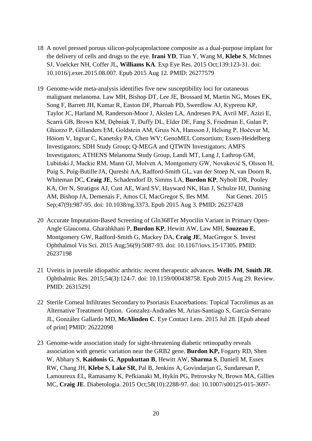- 18 A novel pressed porous silicon-polycaprolactone composite as a dual-purpose implant for the delivery of cells and drugs to the eye. **Irani YD**, Tian Y, Wang M, **Klebe S**, McInnes SJ, Voelcker NH, Coffer JL, **Williams KA**. Exp Eye Res. 2015 Oct;139:123-31. doi: 10.1016/j.exer.2015.08.007. Epub 2015 Aug 12. PMID: 26277579
- 19 Genome-wide meta-analysis identifies five new susceptibility loci for cutaneous malignant melanoma. Law MH, Bishop DT, Lee JE, Brossard M, Martin NG, Moses EK, Song F, Barrett JH, Kumar R, Easton DF, Pharoah PD, Swerdlow AJ, Kypreou KP, Taylor JC, Harland M, Randerson-Moor J, Akslen LA, Andresen PA, Avril MF, Azizi E, Scarrà GB, Brown KM, Dębniak T, Duffy DL, Elder DE, Fang S, Friedman E, Galan P, Ghiorzo P, Gillanders EM, Goldstein AM, Gruis NA, Hansson J, Helsing P, Hočevar M, Höiom V, Ingvar C, Kanetsky PA, Chen WV; GenoMEL Consortium; Essen-Heidelberg Investigators; SDH Study Group; Q-MEGA and QTWIN Investigators; AMFS Investigators; ATHENS Melanoma Study Group, Landi MT, Lang J, Lathrop GM, Lubiński J, Mackie RM, Mann GJ, Molven A, Montgomery GW, Novaković S, Olsson H, Puig S, Puig-Butille JA, Qureshi AA, Radford-Smith GL, van der Stoep N, van Doorn R, Whiteman DC, **Craig JE**, Schadendorf D, Simms LA, **Burdon KP**, Nyholt DR, Pooley KA, Orr N, Stratigos AJ, Cust AE, Ward SV, Hayward NK, Han J, Schulze HJ, Dunning AM, Bishop JA, Demenais F, Amos CI, MacGregor S, Iles MM. Nat Genet. 2015 Sep;47(9):987-95. doi: 10.1038/ng.3373. Epub 2015 Aug 3. PMID: 26237428
- 20 Accurate Imputation-Based Screening of Gln368Ter Myocilin Variant in Primary Open-Angle Glaucoma. Gharahkhani P, **Burdon KP**, Hewitt AW, Law MH, **Souzeau E**, Montgomery GW, Radford-Smith G, Mackey DA, **Craig JE**, MacGregor S. Invest Ophthalmol Vis Sci. 2015 Aug;56(9):5087-93. doi: 10.1167/iovs.15-17305. PMID: 26237198
- 21 Uveitis in juvenile idiopathic arthritis: recent therapeutic advances. **Wells JM**, **Smith JR**. Ophthalmic Res. 2015;54(3):124-7. doi: 10.1159/000438758. Epub 2015 Aug 29. Review. PMID: 26315291
- 22 Sterile Corneal Infiltrates Secondary to Psoriasis Exacerbations: Topical Tacrolimus as an Alternative Treatment Option. Gonzalez-Andrades M, Arias-Santiago S, García-Serrano JL, González Gallardo MD, **McAlinden C**. Eye Contact Lens. 2015 Jul 28. [Epub ahead of print] PMID: 26222098
- 23 Genome-wide association study for sight-threatening diabetic retinopathy reveals association with genetic variation near the GRB2 gene. **Burdon KP,** Fogarty RD, Shen W, Abhary S, **Kaidonis G**, **Appukuttan B**, Hewitt AW, **Sharma S**, Daniell M, Essex RW, Chang JH, **Klebe S**, **Lake SR**, Pal B, Jenkins A, Govindarjan G, Sundaresan P, Lamoureux EL, Ramasamy K, Pefkianaki M, Hykin PG, Petrovsky N, Brown MA, Gillies MC, **Craig JE**. Diabetologia. 2015 Oct;58(10):2288-97. doi: 10.1007/s00125-015-3697-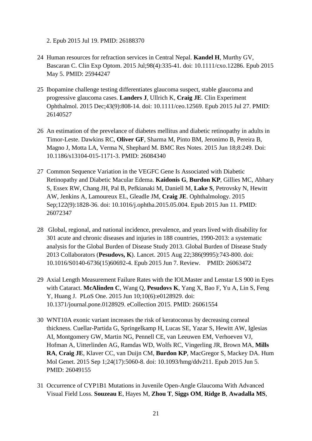2. Epub 2015 Jul 19. PMID: 26188370

- 24 Human resources for refraction services in Central Nepal. **Kandel H**, Murthy GV, Bascaran C. Clin Exp Optom. 2015 Jul;98(4):335-41. doi: 10.1111/cxo.12286. Epub 2015 May 5. PMID: 25944247
- 25 Ibopamine challenge testing differentiates glaucoma suspect, stable glaucoma and progressive glaucoma cases. **Landers J**, Ullrich K, **Craig JE**. Clin Experiment Ophthalmol. 2015 Dec;43(9):808-14. doi: 10.1111/ceo.12569. Epub 2015 Jul 27. PMID: 26140527
- 26 An estimation of the prevelance of diabetes mellitus and diabetic retinopathy in adults in Timor-Leste. Dawkins RC, **Oliver GF**, Sharma M, Pinto BM, Jeronimo B, Pereira B, Magno J, Motta LA, Verma N, Shephard M. BMC Res Notes. 2015 Jun 18;8:249. Doi: 10.1186/s13104-015-1171-3. PMID: 26084340
- 27 Common Sequence Variation in the VEGFC Gene Is Associated with Diabetic Retinopathy and Diabetic Macular Edema. **Kaidonis G**, **Burdon KP**, Gillies MC, Abhary S, Essex RW, Chang JH, Pal B, Pefkianaki M, Daniell M, **Lake S**, Petrovsky N, Hewitt AW, Jenkins A, Lamoureux EL, Gleadle JM, **Craig JE**. Ophthalmology. 2015 Sep;122(9):1828-36. doi: 10.1016/j.ophtha.2015.05.004. Epub 2015 Jun 11. PMID: 26072347
- 28 Global, regional, and national incidence, prevalence, and years lived with disability for 301 acute and chronic diseases and injuries in 188 countries, 1990-2013: a systematic analysis for the Global Burden of Disease Study 2013. Global Burden of Disease Study 2013 Collaborators (**Pesudovs, K**). Lancet. 2015 Aug 22;386(9995):743-800. doi: 10.1016/S0140-6736(15)60692-4. Epub 2015 Jun 7. Review. PMID: 26063472
- 29 Axial Length Measurement Failure Rates with the IOLMaster and Lenstar LS 900 in Eyes with Cataract. **McAlinden C**, Wang Q, **Pesudovs K**, Yang X, Bao F, Yu A, Lin S, Feng Y, Huang J. PLoS One. 2015 Jun 10;10(6):e0128929. doi: 10.1371/journal.pone.0128929. eCollection 2015. PMID: 26061554
- 30 WNT10A exonic variant increases the risk of keratoconus by decreasing corneal thickness. Cuellar-Partida G, Springelkamp H, Lucas SE, Yazar S, Hewitt AW, Iglesias AI, Montgomery GW, Martin NG, Pennell CE, van Leeuwen EM, Verhoeven VJ, Hofman A, Uitterlinden AG, Ramdas WD, Wolfs RC, Vingerling JR, Brown MA, **Mills RA**, **Craig JE**, Klaver CC, van Duijn CM, **Burdon KP**, MacGregor S, Mackey DA. Hum Mol Genet. 2015 Sep 1;24(17):5060-8. doi: 10.1093/hmg/ddv211. Epub 2015 Jun 5. PMID: 26049155
- 31 Occurrence of CYP1B1 Mutations in Juvenile Open-Angle Glaucoma With Advanced Visual Field Loss. **Souzeau E**, Hayes M, **Zhou T**, **Siggs OM**, **Ridge B**, **Awadalla MS**,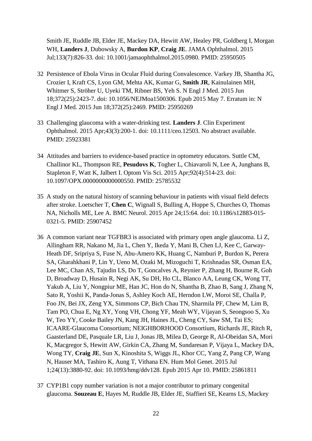Smith JE, Ruddle JB, Elder JE, Mackey DA, Hewitt AW, Healey PR, Goldberg I, Morgan WH, **Landers J**, Dubowsky A, **Burdon KP**, **Craig JE**. JAMA Ophthalmol. 2015 Jul;133(7):826-33. doi: 10.1001/jamaophthalmol.2015.0980. PMID: 25950505

- 32 Persistence of Ebola Virus in Ocular Fluid during Convalescence. Varkey JB, Shantha JG, Crozier I, Kraft CS, Lyon GM, Mehta AK, Kumar G, **Smith JR**, Kainulainen MH, Whitmer S, Ströher U, Uyeki TM, Ribner BS, Yeh S. N Engl J Med. 2015 Jun 18;372(25):2423-7. doi: 10.1056/NEJMoa1500306. Epub 2015 May 7. Erratum in: N Engl J Med. 2015 Jun 18;372(25):2469. PMID: 25950269
- 33 Challenging glaucoma with a water-drinking test. **Landers J**. Clin Experiment Ophthalmol. 2015 Apr;43(3):200-1. doi: 10.1111/ceo.12503. No abstract available. PMID: 25923381
- 34 Attitudes and barriers to evidence-based practice in optometry educators. Suttle CM, Challinor KL, Thompson RE, **Pesudovs K**, Togher L, Chiavaroli N, Lee A, Junghans B, Stapleton F, Watt K, Jalbert I. Optom Vis Sci. 2015 Apr;92(4):514-23. doi: 10.1097/OPX.0000000000000550. PMID: 25785532
- 35 A study on the natural history of scanning behaviour in patients with visual field defects after stroke. Loetscher T, **Chen C**, Wignall S, Bulling A, Hoppe S, Churches O, Thomas NA, Nicholls ME, Lee A. BMC Neurol. 2015 Apr 24;15:64. doi: 10.1186/s12883-015- 0321-5. PMID: 25907452
- 36 A common variant near TGFBR3 is associated with primary open angle glaucoma. Li Z, Allingham RR, Nakano M, Jia L, Chen Y, Ikeda Y, Mani B, Chen LJ, Kee C, Garway-Heath DF, Sripriya S, Fuse N, Abu-Amero KK, Huang C, Namburi P, Burdon K, Perera SA, Gharahkhani P, Lin Y, Ueno M, Ozaki M, Mizoguchi T, Krishnadas SR, Osman EA, Lee MC, Chan AS, Tajudin LS, Do T, Goncalves A, Reynier P, Zhang H, Bourne R, Goh D, Broadway D, Husain R, Negi AK, Su DH, Ho CL, Blanco AA, Leung CK, Wong TT, Yakub A, Liu Y, Nongpiur ME, Han JC, Hon do N, Shantha B, Zhao B, Sang J, Zhang N, Sato R, Yoshii K, Panda-Jonas S, Ashley Koch AE, Herndon LW, Moroi SE, Challa P, Foo JN, Bei JX, Zeng YX, Simmons CP, Bich Chau TN, Sharmila PF, Chew M, Lim B, Tam PO, Chua E, Ng XY, Yong VH, Chong YF, Meah WY, Vijayan S, Seongsoo S, Xu W, Teo YY, Cooke Bailey JN, Kang JH, Haines JL, Cheng CY, Saw SM, Tai ES; ICAARE-Glaucoma Consortium; NEIGHBORHOOD Consortium, Richards JE, Ritch R, Gaasterland DE, Pasquale LR, Liu J, Jonas JB, Milea D, George R, Al-Obeidan SA, Mori K, Macgregor S, Hewitt AW, Girkin CA, Zhang M, Sundaresan P, Vijaya L, Mackey DA, Wong TY, **Craig JE**, Sun X, Kinoshita S, Wiggs JL, Khor CC, Yang Z, Pang CP, Wang N, Hauser MA, Tashiro K, Aung T, Vithana EN. Hum Mol Genet. 2015 Jul 1;24(13):3880-92. doi: 10.1093/hmg/ddv128. Epub 2015 Apr 10. PMID: 25861811
- 37 CYP1B1 copy number variation is not a major contributor to primary congenital glaucoma. **Souzeau E**, Hayes M, Ruddle JB, Elder JE, Staffieri SE, Kearns LS, Mackey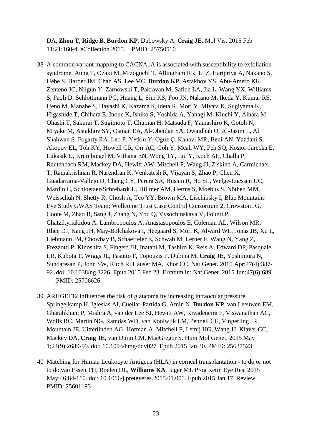DA, **Zhou T**, **Ridge B**, **Burdon KP**, Dubowsky A, **Craig JE**. Mol Vis. 2015 Feb 11;21:160-4. eCollection 2015. PMID: 25750510

- 38 A common variant mapping to CACNA1A is associated with susceptibility to exfoliation syndrome. Aung T, Ozaki M, Mizoguchi T, Allingham RR, Li Z, Haripriya A, Nakano S, Uebe S, Harder JM, Chan AS, Lee MC, **Burdon KP**, Astakhov YS, Abu-Amero KK, Zenteno JC, Nilgün Y, Zarnowski T, Pakravan M, Safieh LA, Jia L, Wang YX, Williams S, Paoli D, Schlottmann PG, Huang L, Sim KS, Foo JN, Nakano M, Ikeda Y, Kumar RS, Ueno M, Manabe S, Hayashi K, Kazama S, Ideta R, Mori Y, Miyata K, Sugiyama K, Higashide T, Chihara E, Inoue K, Ishiko S, Yoshida A, Yanagi M, Kiuchi Y, Aihara M, Ohashi T, Sakurai T, Sugimoto T, Chuman H, Matsuda F, Yamashiro K, Gotoh N, Miyake M, Astakhov SY, Osman EA, Al-Obeidan SA, Owaidhah O, Al-Jasim L, Al Shahwan S, Fogarty RA, Leo P, Yetkin Y, Oğuz Ç, Kanavi MR, Beni AN, Yazdani S, Akopov EL, Toh KY, Howell GR, Orr AC, Goh Y, Meah WY, Peh SQ, Kosior-Jarecka E, Lukasik U, Krumbiegel M, Vithana EN, Wong TY, Liu Y, Koch AE, Challa P, Rautenbach RM, Mackey DA, Hewitt AW, Mitchell P, Wang JJ, Ziskind A, Carmichael T, Ramakrishnan R, Narendran K, Venkatesh R, Vijayan S, Zhao P, Chen X, Guadarrama-Vallejo D, Cheng CY, Perera SA, Husain R, Ho SL, Welge-Luessen UC, Mardin C, Schloetzer-Schrehardt U, Hillmer AM, Herms S, Moebus S, Nöthen MM, Weisschuh N, Shetty R, Ghosh A, Teo YY, Brown MA, Lischinsky I; Blue Mountains Eye Study GWAS Team; Wellcome Trust Case Control Consortium 2, Crowston JG, Coote M, Zhao B, Sang J, Zhang N, You Q, Vysochinskaya V, Founti P, Chatzikyriakidou A, Lambropoulos A, Anastasopoulos E, Coleman AL, Wilson MR, Rhee DJ, Kang JH, May-Bolchakova I, Heegaard S, Mori K, Alward WL, Jonas JB, Xu L, Liebmann JM, Chowbay B, Schaeffeler E, Schwab M, Lerner F, Wang N, Yang Z, Frezzotti P, Kinoshita S, Fingert JH, Inatani M, Tashiro K, Reis A, Edward DP, Pasquale LR, Kubota T, Wiggs JL, Pasutto F, Topouzis F, Dubina M, **Craig JE**, Yoshimura N, Sundaresan P, John SW, Ritch R, Hauser MA, Khor CC. Nat Genet. 2015 Apr;47(4):387- 92. doi: 10.1038/ng.3226. Epub 2015 Feb 23. Erratum in: Nat Genet. 2015 Jun;47(6):689. PMID: 25706626
- 39 ARHGEF12 influences the risk of glaucoma by increasing intraocular pressure. Springelkamp H, Iglesias AI, Cuellar-Partida G, Amin N, **Burdon KP**, van Leeuwen EM, Gharahkhani P, Mishra A, van der Lee SJ, Hewitt AW, Rivadeneira F, Viswanathan AC, Wolfs RC, Martin NG, Ramdas WD, van Koolwijk LM, Pennell CE, Vingerling JR, Mountain JE, Uitterlinden AG, Hofman A, Mitchell P, Lemij HG, Wang JJ, Klaver CC, Mackey DA, **Craig JE**, van Duijn CM, MacGregor S. Hum Mol Genet. 2015 May 1;24(9):2689-99. doi: 10.1093/hmg/ddv027. Epub 2015 Jan 30. PMID: 25637523
- 40 Matching for Human Leukocyte Antigens (HLA) in corneal transplantation to do or not to do.van Essen TH, Roelen DL, **Williams KA**, Jager MJ. Prog Retin Eye Res. 2015 May;46:84-110. doi: 10.1016/j.preteyeres.2015.01.001. Epub 2015 Jan 17. Review. PMID: 25601193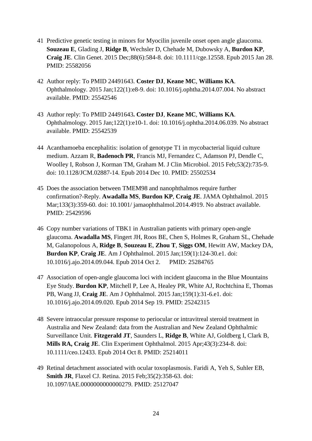- 41 Predictive genetic testing in minors for Myocilin juvenile onset open angle glaucoma. **Souzeau E**, Glading J, **Ridge B**, Wechsler D, Chehade M, Dubowsky A, **Burdon KP**, **Craig JE**. Clin Genet. 2015 Dec;88(6):584-8. doi: 10.1111/cge.12558. Epub 2015 Jan 28. PMID: 25582056
- 42 Author reply: To PMID 24491643. **Coster DJ**, **Keane MC**, **Williams KA**. Ophthalmology. 2015 Jan;122(1):e8-9. doi: 10.1016/j.ophtha.2014.07.004. No abstract available. PMID: 25542546
- 43 Author reply: To PMID 24491643**. Coster DJ**, **Keane MC**, **Williams KA**. Ophthalmology. 2015 Jan;122(1):e10-1. doi: 10.1016/j.ophtha.2014.06.039. No abstract available. PMID: 25542539
- 44 Acanthamoeba encephalitis: isolation of genotype T1 in mycobacterial liquid culture medium. Azzam R, **Badenoch PR**, Francis MJ, Fernandez C, Adamson PJ, Dendle C, Woolley I, Robson J, Korman TM, Graham M. J Clin Microbiol. 2015 Feb;53(2):735-9. doi: 10.1128/JCM.02887-14. Epub 2014 Dec 10. PMID: 25502534
- 45 Does the association between TMEM98 and nanophthalmos require further confirmation?-Reply. **Awadalla MS**, **Burdon KP**, **Craig JE**. JAMA Ophthalmol. 2015 Mar;133(3):359-60. doi: 10.1001/ jamaophthalmol.2014.4919. No abstract available. PMID: 25429596
- 46 Copy number variations of TBK1 in Australian patients with primary open-angle glaucoma. **Awadalla MS**, Fingert JH, Roos BE, Chen S, Holmes R, Graham SL, Chehade M, Galanopolous A, **Ridge B**, **Souzeau E**, **Zhou T**, **Siggs OM**, Hewitt AW, Mackey DA, **Burdon KP**, **Craig JE**. Am J Ophthalmol. 2015 Jan;159(1):124-30.e1. doi: 10.1016/j.ajo.2014.09.044. Epub 2014 Oct 2. PMID: 25284765
- 47 Association of open-angle glaucoma loci with incident glaucoma in the Blue Mountains Eye Study. **Burdon KP**, Mitchell P, Lee A, Healey PR, White AJ, Rochtchina E, Thomas PB, Wang JJ, **Craig JE**. Am J Ophthalmol. 2015 Jan;159(1):31-6.e1. doi: 10.1016/j.ajo.2014.09.020. Epub 2014 Sep 19. PMID: 25242315
- 48 Severe intraocular pressure response to periocular or intravitreal steroid treatment in Australia and New Zealand: data from the Australian and New Zealand Ophthalmic Surveillance Unit. **Fitzgerald JT**, Saunders L, **Ridge B**, White AJ, Goldberg I, Clark B, **Mills RA, Craig JE**. Clin Experiment Ophthalmol. 2015 Apr;43(3):234-8. doi: 10.1111/ceo.12433. Epub 2014 Oct 8. PMID: 25214011
- 49 Retinal detachment associated with ocular toxoplasmosis. Faridi A, Yeh S, Suhler EB, **Smith JR**, Flaxel CJ. Retina. 2015 Feb;35(2):358-63. doi: 10.1097/IAE.0000000000000279. PMID: 25127047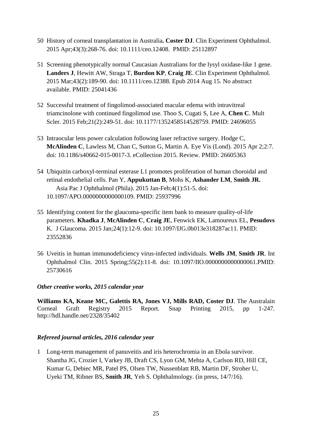- 50 History of corneal transplantation in Australia**. Coster DJ**. Clin Experiment Ophthalmol. 2015 Apr;43(3):268-76. doi: 10.1111/ceo.12408. PMID: 25112897
- 51 Screening phenotypically normal Caucasian Australians for the lysyl oxidase-like 1 gene. **Landers J**, Hewitt AW, Straga T, **Burdon KP**, **Craig JE**. Clin Experiment Ophthalmol. 2015 Mar;43(2):189-90. doi: 10.1111/ceo.12388. Epub 2014 Aug 15. No abstract available. PMID: 25041436
- 52 Successful treatment of fingolimod-associated macular edema with intravitreal triamcinolone with continued fingolimod use. Thoo S, Cugati S, Lee A, **Chen C**. Mult Scler. 2015 Feb;21(2):249-51. doi: 10.1177/1352458514528759. PMID: 24696055
- 53 Intraocular lens power calculation following laser refractive surgery. Hodge C, **McAlinden C**, Lawless M, Chan C, Sutton G, Martin A. Eye Vis (Lond). 2015 Apr 2;2:7. doi: 10.1186/s40662-015-0017-3. eCollection 2015. Review. PMID: 26605363
- 54 Ubiquitin carboxyl-terminal esterase L1 promotes proliferation of human choroidal and retinal endothelial cells. Pan Y, **Appukuttan B**, Mohs K, **Ashander LM**, **Smith JR.** Asia Pac J Ophthalmol (Phila). 2015 Jan-Feb;4(1):51-5. doi: 10.1097/APO.0000000000000109. PMID: 25937996
- 55 Identifying content for the glaucoma-specific item bank to measure quality-of-life parameters. **Khadka J**, **McAlinden C**, **Craig JE**, Fenwick EK, Lamoureux EL, **Pesudovs** K. J Glaucoma. 2015 Jan;24(1):12-9. doi: 10.1097/IJG.0b013e318287ac11. PMID: 23552836
- 56 Uveitis in human immunodeficiency virus-infected individuals. **Wells JM**, **Smith JR**. Int Ophthalmol Clin. 2015 Spring;55(2):11-8. doi: 10.1097/IIO.0000000000000061.PMID: 25730616

#### *Other creative works, 2015 calendar year*

**Williams KA, Keane MC, Galettis RA, Jones VJ, Mills RAD, Coster DJ**. The Australain Corneal Graft Registry 2015 Report. Snap Printing 2015, pp 1-247. <http://hdl.handle.net/2328/35402>

#### *Refereed journal articles, 2016 calendar year*

1 Long-term management of panuveitis and iris heterochromia in an Ebola survivor. Shantha JG, Crozier I, Varkey JB, Draft CS, Lyon GM, Mehta A, Carlson RD, Hill CE, Kumar G, Debiec MR, Patel PS, Olsen TW, Nussenblatt RB, Martin DF, Stroher U, Uyeki TM, Ribner BS, **Smith JR**, Yeh S. Ophthalmology. (in press, 14/7/16).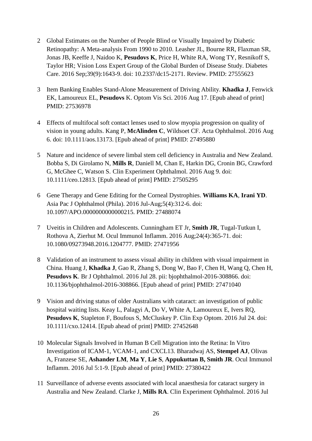- 2 Global Estimates on the Number of People Blind or Visually Impaired by Diabetic Retinopathy: A Meta-analysis From 1990 to 2010. Leasher JL, Bourne RR, Flaxman SR, Jonas JB, Keeffe J, Naidoo K, **Pesudovs K**, Price H, White RA, Wong TY, Resnikoff S, Taylor HR; Vision Loss Expert Group of the Global Burden of Disease Study. Diabetes Care. 2016 Sep;39(9):1643-9. doi: 10.2337/dc15-2171. Review. PMID: 27555623
- 3 Item Banking Enables Stand-Alone Measurement of Driving Ability. **Khadka J**, Fenwick EK, Lamoureux EL, **Pesudovs** K. Optom Vis Sci. 2016 Aug 17. [Epub ahead of print] PMID: 27536978
- 4 Effects of multifocal soft contact lenses used to slow myopia progression on quality of vision in young adults. Kang P, **McAlinden C**, Wildsoet CF. Acta Ophthalmol. 2016 Aug 6. doi: 10.1111/aos.13173. [Epub ahead of print] PMID: 27495880
- 5 Nature and incidence of severe limbal stem cell deficiency in Australia and New Zealand. Bobba S, Di Girolamo N, **Mills R**, Daniell M, Chan E, Harkin DG, Cronin BG, Crawford G, McGhee C, Watson S. Clin Experiment Ophthalmol. 2016 Aug 9. doi: 10.1111/ceo.12813. [Epub ahead of print] PMID: 27505295
- 6 Gene Therapy and Gene Editing for the Corneal Dystrophies. **Williams KA**, **Irani YD**. Asia Pac J Ophthalmol (Phila). 2016 Jul-Aug;5(4):312-6. doi: 10.1097/APO.0000000000000215. PMID: 27488074
- 7 Uveitis in Children and Adolescents. Cunningham ET Jr, **Smith JR**, Tugal-Tutkun I, Rothova A, Zierhut M. Ocul Immunol Inflamm. 2016 Aug;24(4):365-71. doi: 10.1080/09273948.2016.1204777. PMID: 27471956
- 8 Validation of an instrument to assess visual ability in children with visual impairment in China. Huang J, **Khadka J**, Gao R, Zhang S, Dong W, Bao F, Chen H, Wang Q, Chen H, **Pesudovs K**. Br J Ophthalmol. 2016 Jul 28. pii: bjophthalmol-2016-308866. doi: 10.1136/bjophthalmol-2016-308866. [Epub ahead of print] PMID: 27471040
- 9 Vision and driving status of older Australians with cataract: an investigation of public hospital waiting lists. Keay L, Palagyi A, Do V, White A, Lamoureux E, Ivers RQ, **Pesudovs K**, Stapleton F, Boufous S, McCluskey P. Clin Exp Optom. 2016 Jul 24. doi: 10.1111/cxo.12414. [Epub ahead of print] PMID: 27452648
- 10 Molecular Signals Involved in Human B Cell Migration into the Retina: In Vitro Investigation of ICAM-1, VCAM-1, and CXCL13. Bharadwaj AS, **Stempel AJ**, Olivas A, Franzese SE, **Ashander LM**, **Ma Y**, **Lie S**, **Appukuttan B, Smith JR**. Ocul Immunol Inflamm. 2016 Jul 5:1-9. [Epub ahead of print] PMID: 27380422
- 11 Surveillance of adverse events associated with local anaesthesia for cataract surgery in Australia and New Zealand. Clarke J, **Mills RA**. Clin Experiment Ophthalmol. 2016 Jul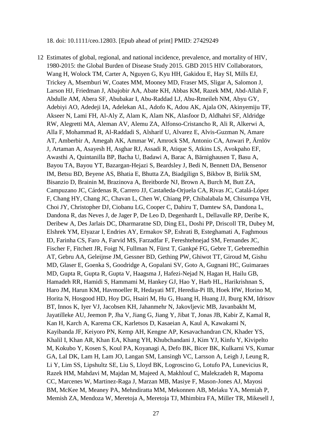18. doi: 10.1111/ceo.12803. [Epub ahead of print] PMID: 27429249

12 Estimates of global, regional, and national incidence, prevalence, and mortality of HIV, 1980-2015: the Global Burden of Disease Study 2015. GBD 2015 HIV Collaborators, Wang H, Wolock TM, Carter A, Nguyen G, Kyu HH, Gakidou E, Hay SI, Mills EJ, Trickey A, Msemburi W, Coates MM, Mooney MD, Fraser MS, Sligar A, Salomon J, Larson HJ, Friedman J, Abajobir AA, Abate KH, Abbas KM, Razek MM, Abd-Allah F, Abdulle AM, Abera SF, Abubakar I, Abu-Raddad LJ, Abu-Rmeileh NM, Abyu GY, Adebiyi AO, Adedeji IA, Adelekan AL, Adofo K, Adou AK, Ajala ON, Akinyemiju TF, Akseer N, Lami FH, Al-Aly Z, Alam K, Alam NK, Alasfoor D, Aldhahri SF, Aldridge RW, Alegretti MA, Aleman AV, Alemu ZA, Alfonso-Cristancho R, Ali R, Alkerwi A, Alla F, Mohammad R, Al-Raddadi S, Alsharif U, Alvarez E, Alvis-Guzman N, Amare AT, Amberbir A, Amegah AK, Ammar W, Amrock SM, Antonio CA, Anwari P, Ärnlöv J, Artaman A, Asayesh H, Asghar RJ, Assadi R, Atique S, Atkins LS, Avokpaho EF, Awasthi A, Quintanilla BP, Bacha U, Badawi A, Barac A, Bärnighausen T, Basu A, Bayou TA, Bayou YT, Bazargan-Hejazi S, Beardsley J, Bedi N, Bennett DA, Bensenor IM, Betsu BD, Beyene AS, Bhatia E, Bhutta ZA, Biadgilign S, Bikbov B, Birlik SM, Bisanzio D, Brainin M, Brazinova A, Breitborde NJ, Brown A, Burch M, Butt ZA, Campuzano JC, Cárdenas R, Carrero JJ, Castañeda-Orjuela CA, Rivas JC, Catalá-López F, Chang HY, Chang JC, Chavan L, Chen W, Chiang PP, Chibalabala M, Chisumpa VH, Choi JY, Christopher DJ, Ciobanu LG, Cooper C, Dahiru T, Damtew SA, Dandona L, Dandona R, das Neves J, de Jager P, De Leo D, Degenhardt L, Dellavalle RP, Deribe K, Deribew A, Des Jarlais DC, Dharmaratne SD, Ding EL, Doshi PP, Driscoll TR, Dubey M, Elshrek YM, Elyazar I, Endries AY, Ermakov SP, Eshrati B, Esteghamati A, Faghmous ID, Farinha CS, Faro A, Farvid MS, Farzadfar F, Fereshtehnejad SM, Fernandes JC, Fischer F, Fitchett JR, Foigt N, Fullman N, Fürst T, Gankpé FG, Gebre T, Gebremedhin AT, Gebru AA, Geleijnse JM, Gessner BD, Gething PW, Ghiwot TT, Giroud M, Gishu MD, Glaser E, Goenka S, Goodridge A, Gopalani SV, Goto A, Gugnani HC, Guimaraes MD, Gupta R, Gupta R, Gupta V, Haagsma J, Hafezi-Nejad N, Hagan H, Hailu GB, Hamadeh RR, Hamidi S, Hammami M, Hankey GJ, Hao Y, Harb HL, Harikrishnan S, Haro JM, Harun KM, Havmoeller R, Hedayati MT, Heredia-Pi IB, Hoek HW, Horino M, Horita N, Hosgood HD, Hoy DG, Hsairi M, Hu G, Huang H, Huang JJ, Iburg KM, Idrisov BT, Innos K, Iyer VJ, Jacobsen KH, Jahanmehr N, Jakovljevic MB, Javanbakht M, Jayatilleke AU, Jeemon P, Jha V, Jiang G, Jiang Y, Jibat T, Jonas JB, Kabir Z, Kamal R, Kan H, Karch A, Karema CK, Karletsos D, Kasaeian A, Kaul A, Kawakami N, Kayibanda JF, Keiyoro PN, Kemp AH, Kengne AP, Kesavachandran CN, Khader YS, Khalil I, Khan AR, Khan EA, Khang YH, Khubchandani J, Kim YJ, Kinfu Y, Kivipelto M, Kokubo Y, Kosen S, Koul PA, Koyanagi A, Defo BK, Bicer BK, Kulkarni VS, Kumar GA, Lal DK, Lam H, Lam JO, Langan SM, Lansingh VC, Larsson A, Leigh J, Leung R, Li Y, Lim SS, Lipshultz SE, Liu S, Lloyd BK, Logroscino G, Lotufo PA, Lunevicius R, Razek HM, Mahdavi M, Majdan M, Majeed A, Makhlouf C, Malekzadeh R, Mapoma CC, Marcenes W, Martinez-Raga J, Marzan MB, Masiye F, Mason-Jones AJ, Mayosi BM, McKee M, Meaney PA, Mehndiratta MM, Mekonnen AB, Melaku YA, Memiah P, Memish ZA, Mendoza W, Meretoja A, Meretoja TJ, Mhimbira FA, Miller TR, Mikesell J,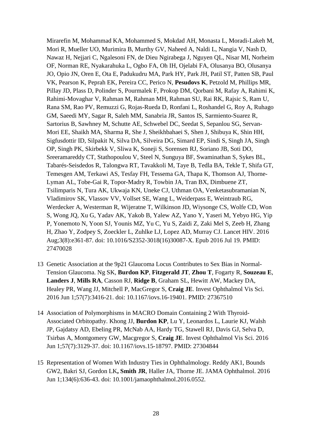Mirarefin M, Mohammad KA, Mohammed S, Mokdad AH, Monasta L, Moradi-Lakeh M, Mori R, Mueller UO, Murimira B, Murthy GV, Naheed A, Naldi L, Nangia V, Nash D, Nawaz H, Nejjari C, Ngalesoni FN, de Dieu Ngirabega J, Nguyen QL, Nisar MI, Norheim OF, Norman RE, Nyakarahuka L, Ogbo FA, Oh IH, Ojelabi FA, Olusanya BO, Olusanya JO, Opio JN, Oren E, Ota E, Padukudru MA, Park HY, Park JH, Patil ST, Patten SB, Paul VK, Pearson K, Peprah EK, Pereira CC, Perico N, **Pesudovs K**, Petzold M, Phillips MR, Pillay JD, Plass D, Polinder S, Pourmalek F, Prokop DM, Qorbani M, Rafay A, Rahimi K, Rahimi-Movaghar V, Rahman M, Rahman MH, Rahman SU, Rai RK, Rajsic S, Ram U, Rana SM, Rao PV, Remuzzi G, Rojas-Rueda D, Ronfani L, Roshandel G, Roy A, Ruhago GM, Saeedi MY, Sagar R, Saleh MM, Sanabria JR, Santos IS, Sarmiento-Suarez R, Sartorius B, Sawhney M, Schutte AE, Schwebel DC, Seedat S, Sepanlou SG, Servan-Mori EE, Shaikh MA, Sharma R, She J, Sheikhbahaei S, Shen J, Shibuya K, Shin HH, Sigfusdottir ID, Silpakit N, Silva DA, Silveira DG, Simard EP, Sindi S, Singh JA, Singh OP, Singh PK, Skirbekk V, Sliwa K, Soneji S, Sorensen RJ, Soriano JB, Soti DO, Sreeramareddy CT, Stathopoulou V, Steel N, Sunguya BF, Swaminathan S, Sykes BL, Tabarés-Seisdedos R, Talongwa RT, Tavakkoli M, Taye B, Tedla BA, Tekle T, Shifa GT, Temesgen AM, Terkawi AS, Tesfay FH, Tessema GA, Thapa K, Thomson AJ, Thorne-Lyman AL, Tobe-Gai R, Topor-Madry R, Towbin JA, Tran BX, Dimbuene ZT, Tsilimparis N, Tura AK, Ukwaja KN, Uneke CJ, Uthman OA, Venketasubramanian N, Vladimirov SK, Vlassov VV, Vollset SE, Wang L, Weiderpass E, Weintraub RG, Werdecker A, Westerman R, Wijeratne T, Wilkinson JD, Wiysonge CS, Wolfe CD, Won S, Wong JQ, Xu G, Yadav AK, Yakob B, Yalew AZ, Yano Y, Yaseri M, Yebyo HG, Yip P, Yonemoto N, Yoon SJ, Younis MZ, Yu C, Yu S, Zaidi Z, Zaki Mel S, Zeeb H, Zhang H, Zhao Y, Zodpey S, Zoeckler L, Zuhlke LJ, Lopez AD, Murray CJ. Lancet HIV. 2016 Aug;3(8):e361-87. doi: 10.1016/S2352-3018(16)30087-X. Epub 2016 Jul 19. PMID: 27470028

- 13 Genetic Association at the 9p21 Glaucoma Locus Contributes to Sex Bias in Normal-Tension Glaucoma. Ng SK, **Burdon KP**, **Fitzgerald JT**, **Zhou T**, Fogarty R, **Souzeau E**, **Landers J**, **Mills RA**, Casson RJ, **Ridge B**, Graham SL, Hewitt AW, Mackey DA, Healey PR, Wang JJ, Mitchell P, MacGregor S, **Craig JE**. Invest Ophthalmol Vis Sci. 2016 Jun 1;57(7):3416-21. doi: 10.1167/iovs.16-19401. PMID: 27367510
- 14 Association of Polymorphisms in MACRO Domain Containing 2 With Thyroid-Associated Orbitopathy. Khong JJ, **Burdon KP**, Lu Y, Leonardos L, Laurie KJ, Walsh JP, Gajdatsy AD, Ebeling PR, McNab AA, Hardy TG, Stawell RJ, Davis GJ, Selva D, Tsirbas A, Montgomery GW, Macgregor S, **Craig JE**. Invest Ophthalmol Vis Sci. 2016 Jun 1;57(7):3129-37. doi: 10.1167/iovs.15-18797. PMID: 27304844
- 15 Representation of Women With Industry Ties in Ophthalmology. Reddy AK1, Bounds GW2, Bakri SJ, Gordon LK**, Smith JR**, Haller JA, Thorne JE. JAMA Ophthalmol. 2016 Jun 1;134(6):636-43. doi: 10.1001/jamaophthalmol.2016.0552.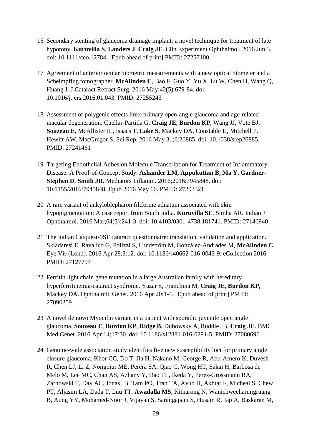- 16 Secondary stenting of glaucoma drainage implant: a novel technique for treatment of late hypotony. **Kuruvilla S**, **Landers J**, **Craig JE**. Clin Experiment Ophthalmol. 2016 Jun 3. doi: 10.1111/ceo.12784. [Epub ahead of print] PMID: 27257100
- 17 Agreement of anterior ocular biometric measurements with a new optical biometer and a Scheimpflug tomographer. **McAlinden C**, Bao F, Guo Y, Yu X, Lu W, Chen H, Wang Q, Huang J. J Cataract Refract Surg. 2016 May;42(5):679-84. doi: 10.1016/j.jcrs.2016.01.043. PMID: 27255243
- 18 Assessment of polygenic effects links primary open-angle glaucoma and age-related macular degeneration. Cuellar-Partida G, **Craig JE**, **Burdon KP**, Wang JJ, Vote BJ, **Souzeau E**, McAllister IL, Isaacs T, **Lake S**, Mackey DA, Constable IJ, Mitchell P, Hewitt AW, MacGregor S. Sci Rep. 2016 May 31;6:26885. doi: 10.1038/srep26885. PMID: 27241461
- 19 Targeting Endothelial Adhesion Molecule Transcription for Treatment of Inflammatory Disease: A Proof-of-Concept Study. **Ashander LM, Appukuttan B, Ma Y**, **Gardner-Stephen D**, **Smith JR.** Mediators Inflamm. 2016;2016:7945848. doi: 10.1155/2016/7945848. Epub 2016 May 16. PMID: 27293321
- 20 A rare variant of ankyloblepharon filiforme adnatum associated with skin hypopigmentation: A case report from South India. **Kuruvilla SE**, Simha AR. Indian J Ophthalmol. 2016 Mar;64(3):241-3. doi: 10.4103/0301-4738.181741. PMID: 27146940
- 21 The Italian Catquest-9SF cataract questionnaire: translation, validation and application. Skiadaresi E, Ravalico G, Polizzi S, Lundström M, González-Andrades M, **McAlinden C**. Eye Vis (Lond). 2016 Apr 28;3:12. doi: 10.1186/s40662-016-0043-9. eCollection 2016. PMID: 27127797
- 22 Ferritin light chain gene mutation in a large Australian family with hereditary hyperferritinemia-cataract syndrome. Yazar S, Franchina M, **Craig JE**, **Burdon KP**, Mackey DA. Ophthalmic Genet. 2016 Apr 20:1-4. [Epub ahead of print] PMID: 27096259
- 23 A novel de novo Myocilin variant in a patient with sporadic juvenile open angle glaucoma. **Souzeau E**, **Burdon KP**, **Ridge B**, Dubowsky A, Ruddle JB, **Craig JE**. BMC Med Genet. 2016 Apr 14;17:30. doi: 10.1186/s12881-016-0291-5. PMID: 27080696
- 24 Genome-wide association study identifies five new susceptibility loci for primary angle closure glaucoma. Khor CC, Do T, Jia H, Nakano M, George R, Abu-Amero K, Duvesh R, Chen LJ, Li Z, Nongpiur ME, Perera SA, Qiao C, Wong HT, Sakai H, Barbosa de Melo M, Lee MC, Chan AS, Azhany Y, Dao TL, Ikeda Y, Perez-Grossmann RA, Zarnowski T, Day AC, Jonas JB, Tam PO, Tran TA, Ayub H, Akhtar F, Micheal S, Chew PT, Aljasim LA, Dada T, Luu TT, **Awadalla MS**, Kitnarong N, Wanichwecharungruang B, Aung YY, Mohamed-Noor J, Vijayan S, Sarangapani S, Husain R, Jap A, Baskaran M,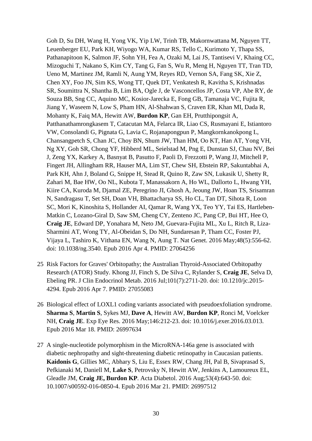Goh D, Su DH, Wang H, Yong VK, Yip LW, Trinh TB, Makornwattana M, Nguyen TT, Leuenberger EU, Park KH, Wiyogo WA, Kumar RS, Tello C, Kurimoto Y, Thapa SS, Pathanapitoon K, Salmon JF, Sohn YH, Fea A, Ozaki M, Lai JS, Tantisevi V, Khaing CC, Mizoguchi T, Nakano S, Kim CY, Tang G, Fan S, Wu R, Meng H, Nguyen TT, Tran TD, Ueno M, Martinez JM, Ramli N, Aung YM, Reyes RD, Vernon SA, Fang SK, Xie Z, Chen XY, Foo JN, Sim KS, Wong TT, Quek DT, Venkatesh R, Kavitha S, Krishnadas SR, Soumittra N, Shantha B, Lim BA, Ogle J, de Vasconcellos JP, Costa VP, Abe RY, de Souza BB, Sng CC, Aquino MC, Kosior-Jarecka E, Fong GB, Tamanaja VC, Fujita R, Jiang Y, Waseem N, Low S, Pham HN, Al-Shahwan S, Craven ER, Khan MI, Dada R, Mohanty K, Faiq MA, Hewitt AW, **Burdon KP**, Gan EH, Prutthipongsit A, Patthanathamrongkasem T, Catacutan MA, Felarca IR, Liao CS, Rusmayani E, Istiantoro VW, Consolandi G, Pignata G, Lavia C, Rojanapongpun P, Mangkornkanokpong L, Chansangpetch S, Chan JC, Choy BN, Shum JW, Than HM, Oo KT, Han AT, Yong VH, Ng XY, Goh SR, Chong YF, Hibberd ML, Seielstad M, Png E, Dunstan SJ, Chau NV, Bei J, Zeng YX, Karkey A, Basnyat B, Pasutto F, Paoli D, Frezzotti P, Wang JJ, Mitchell P, Fingert JH, Allingham RR, Hauser MA, Lim ST, Chew SH, Ebstein RP, Sakuntabhai A, Park KH, Ahn J, Boland G, Snippe H, Stead R, Quino R, Zaw SN, Lukasik U, Shetty R, Zahari M, Bae HW, Oo NL, Kubota T, Manassakorn A, Ho WL, Dallorto L, Hwang YH, Kiire CA, Kuroda M, Djamal ZE, Peregrino JI, Ghosh A, Jeoung JW, Hoan TS, Srisamran N, Sandragasu T, Set SH, Doan VH, Bhattacharya SS, Ho CL, Tan DT, Sihota R, Loon SC, Mori K, Kinoshita S, Hollander AI, Qamar R, Wang YX, Teo YY, Tai ES, Hartleben-Matkin C, Lozano-Giral D, Saw SM, Cheng CY, Zenteno JC, Pang CP, Bui HT, Hee O, **Craig JE**, Edward DP, Yonahara M, Neto JM, Guevara-Fujita ML, Xu L, Ritch R, Liza-Sharmini AT, Wong TY, Al-Obeidan S, Do NH, Sundaresan P, Tham CC, Foster PJ, Vijaya L, Tashiro K, Vithana EN, Wang N, Aung T. Nat Genet. 2016 May;48(5):556-62. doi: 10.1038/ng.3540. Epub 2016 Apr 4. PMID: 27064256

- 25 Risk Factors for Graves' Orbitopathy; the Australian Thyroid-Associated Orbitopathy Research (ATOR) Study. Khong JJ, Finch S, De Silva C, Rylander S, **Craig JE**, Selva D, Ebeling PR. J Clin Endocrinol Metab. 2016 Jul;101(7):2711-20. doi: 10.1210/jc.2015- 4294. Epub 2016 Apr 7. PMID: 27055083
- 26 Biological effect of LOXL1 coding variants associated with pseudoexfoliation syndrome. **Sharma S**, **Martin S**, Sykes MJ, **Dave A**, Hewitt AW, **Burdon KP**, Ronci M, Voelcker NH, **Craig JE**. Exp Eye Res. 2016 May;146:212-23. doi: 10.1016/j.exer.2016.03.013. Epub 2016 Mar 18. PMID: 26997634
- 27 A single-nucleotide polymorphism in the MicroRNA-146a gene is associated with diabetic nephropathy and sight-threatening diabetic retinopathy in Caucasian patients. **Kaidonis G**, Gillies MC, Abhary S, Liu E, Essex RW, Chang JH, Pal B, Sivaprasad S, Pefkianaki M, Daniell M, **Lake S**, Petrovsky N, Hewitt AW, Jenkins A, Lamoureux EL, Gleadle JM, **Craig JE, Burdon KP**. Acta Diabetol. 2016 Aug;53(4):643-50. doi: 10.1007/s00592-016-0850-4. Epub 2016 Mar 21. PMID: 26997512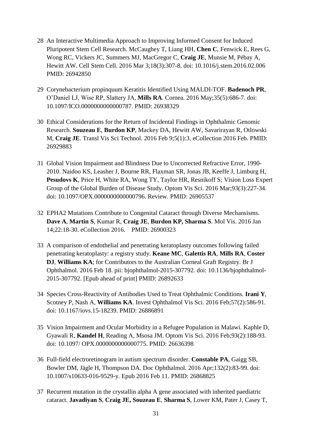- 28 An Interactive Multimedia Approach to Improving Informed Consent for Induced Pluripotent Stem Cell Research. McCaughey T, Liang HH, **Chen C**, Fenwick E, Rees G, Wong RC, Vickers JC, Summers MJ, MacGregor C, **Craig JE**, Munsie M, Pébay A, Hewitt AW. Cell Stem Cell. 2016 Mar 3;18(3):307-8. doi: 10.1016/j.stem.2016.02.006 PMID: 26942850
- 29 Corynebacterium propinquum Keratitis Identified Using MALDI-TOF. **Badenoch PR**, O'Daniel LJ, Wise RP, Slattery JA, **Mills RA**. Cornea. 2016 May;35(5):686-7. doi: 10.1097/ICO.0000000000000787. PMID: 26938329
- 30 Ethical Considerations for the Return of Incidental Findings in Ophthalmic Genomic Research. **Souzeau E**, **Burdon KP**, Mackey DA, Hewitt AW, Savarirayan R, Otlowski M, **Craig JE**. Transl Vis Sci Technol. 2016 Feb 9;5(1):3. eCollection 2016 Feb. PMID: 26929883
- 31 Global Vision Impairment and Blindness Due to Uncorrected Refractive Error, 1990- 2010. Naidoo KS, Leasher J, Bourne RR, Flaxman SR, Jonas JB, Keeffe J, Limburg H, **Pesudovs K**, Price H, White RA, Wong TY, Taylor HR, Resnikoff S; Vision Loss Expert Group of the Global Burden of Disease Study. Optom Vis Sci. 2016 Mar;93(3):227-34. doi: 10.1097/OPX.0000000000000796. Review. PMID: 26905537
- 32 EPHA2 Mutations Contribute to Congenital Cataract through Diverse Mechansisms. **Dave A**, **Martin S**, Kumar R, **Craig JE**, **Burdon KP, Sharma S**. Mol Vis. 2016 Jan 14;22:18-30. eCollection 2016. PMID: 26900323
- 33 A comparison of endothelial and penetrating keratoplasty outcomes following failed penetrating keratoplasty: a registry study. **Keane MC**, **Galettis RA**, **Mills RA**, **Coster DJ**, **Williams KA**; for Contributors to the Australian Corneal Graft Registry. Br J Ophthalmol. 2016 Feb 18. pii: bjophthalmol-2015-307792. doi: 10.1136/bjophthalmol-2015-307792. [Epub ahead of print] PMID: 26892633
- 34 Species Cross-Reactivity of Antibodies Used to Treat Ophthalmic Conditions. **Irani Y**, Scotney P, Nash A, **Williams KA**. Invest Ophthalmol Vis Sci. 2016 Feb;57(2):586-91. doi: 10.1167/iovs.15-18239. PMID: 26886891
- 35 Vision Impairment and Ocular Morbidity in a Refugee Population in Malawi. Kaphle D, Gyawali R, **Kandel H**, Reading A, Msosa JM. Optom Vis Sci. 2016 Feb;93(2):188-93. doi: 10.1097/ OPX.0000000000000775. PMID: 26636398
- 36 Full-field electroretinogram in autism spectrum disorder. **Constable PA**, Gaigg SB, Bowler DM, Jägle H, Thompson DA. Doc Ophthalmol. 2016 Apr;132(2):83-99. doi: 10.1007/s10633-016-9529-y. Epub 2016 Feb 11. PMID: 26868825
- 37 Recurrent mutation in the crystallin alpha A gene associated with inherited paediatric cataract. **Javadiyan S**, **Craig JE, Souzeau E**, **Sharma S**, Lower KM, Pater J, Casey T,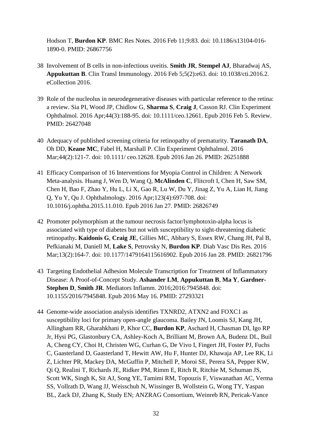Hodson T, **Burdon KP**. BMC Res Notes. 2016 Feb 11;9:83. doi: 10.1186/s13104-016- 1890-0. PMID: 26867756

- 38 Involvement of B cells in non-infectious uveitis. **Smith JR**, **Stempel AJ**, Bharadwaj AS, **Appukuttan B**. Clin Transl Immunology. 2016 Feb 5;5(2):e63. doi: 10.1038/cti.2016.2. eCollection 2016.
- 39 Role of the nucleolus in neurodegenerative diseases with particular reference to the retina: a review. Sia PI, Wood JP, Chidlow G, **Sharma S**, **Craig J**, Casson RJ. Clin Experiment Ophthalmol. 2016 Apr;44(3):188-95. doi: 10.1111/ceo.12661. Epub 2016 Feb 5. Review. PMID: 26427048
- 40 Adequacy of published screening criteria for retinopathy of prematurity. **Taranath DA**, Oh DD, **Keane MC**, Fabel H, Marshall P. Clin Experiment Ophthalmol. 2016 Mar;44(2):121-7. doi: 10.1111/ ceo.12628. Epub 2016 Jan 26. PMID: 26251888
- 41 Efficacy Comparison of 16 Interventions for Myopia Control in Children: A Network Meta-analysis. Huang J, Wen D, Wang Q, **McAlinden C**, Flitcroft I, Chen H, Saw SM, Chen H, Bao F, Zhao Y, Hu L, Li X, Gao R, Lu W, Du Y, Jinag Z, Yu A, Lian H, Jiang Q, Yu Y, Qu J. Ophthalmology. 2016 Apr;123(4):697-708. doi: 10.1016/j.ophtha.2015.11.010. Epub 2016 Jan 27. PMID: 26826749
- 42 Promoter polymorphism at the tumour necrosis factor/lymphotoxin-alpha locus is associated with type of diabetes but not with susceptibility to sight-threatening diabetic retinopathy**. Kaidonis G**, **Craig JE**, Gillies MC, Abhary S, Essex RW, Chang JH, Pal B, Pefkianaki M, Daniell M, **Lake S**, Petrovsky N, **Burdon KP**. Diab Vasc Dis Res. 2016 Mar;13(2):164-7. doi: 10.1177/1479164115616902. Epub 2016 Jan 28. PMID: 26821796
- 43 Targeting Endothelial Adhesion Molecule Transcription for Treatment of Inflammatory Disease: A Proof-of-Concept Study. **Ashander LM**, **Appukuttan B**, **Ma Y**, **Gardner-Stephen D**, **Smith JR**. Mediators Inflamm. 2016;2016:7945848. doi: 10.1155/2016/7945848. Epub 2016 May 16. PMID: 27293321
- 44 Genome-wide association analysis identifies TXNRD2, ATXN2 and FOXC1 as susceptibility loci for primary open-angle glaucoma. Bailey JN, Loomis SJ, Kang JH, Allingham RR, Gharahkhani P, Khor CC, **Burdon KP**, Aschard H, Chasman DI, Igo RP Jr, Hysi PG, Glastonbury CA, Ashley-Koch A, Brilliant M, Brown AA, Budenz DL, Buil A, Cheng CY, Choi H, Christen WG, Curhan G, De Vivo I, Fingert JH, Foster PJ, Fuchs C, Gaasterland D, Gaasterland T, Hewitt AW, Hu F, Hunter DJ, Khawaja AP, Lee RK, Li Z, Lichter PR, Mackey DA, McGuffin P, Mitchell P, Moroi SE, Perera SA, Pepper KW, Qi Q, Realini T, Richards JE, Ridker PM, Rimm E, Ritch R, Ritchie M, Schuman JS, Scott WK, Singh K, Sit AJ, Song YE, Tamimi RM, Topouzis F, Viswanathan AC, Verma SS, Vollrath D, Wang JJ, Weisschuh N, Wissinger B, Wollstein G, Wong TY, Yaspan BL, Zack DJ, Zhang K, Study EN; ANZRAG Consortium, Weinreb RN, Pericak-Vance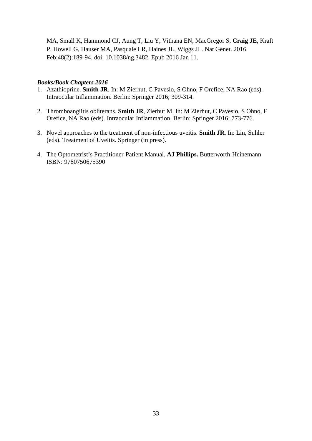MA, Small K, Hammond CJ, Aung T, Liu Y, Vithana EN, MacGregor S, **Craig JE**, Kraft P, Howell G, Hauser MA, Pasquale LR, Haines JL, Wiggs JL. Nat Genet. 2016 Feb;48(2):189-94. doi: 10.1038/ng.3482. Epub 2016 Jan 11.

#### *Books/Book Chapters 2016*

- 1. Azathioprine. **Smith JR**. In: M Zierhut, C Pavesio, S Ohno, F Orefice, NA Rao (eds). Intraocular Inflammation. Berlin: Springer 2016; 309-314.
- 2. Thromboangiitis obliterans. **Smith JR**, Zierhut M. In: M Zierhut, C Pavesio, S Ohno, F Orefice, NA Rao (eds). Intraocular Inflammation. Berlin: Springer 2016; 773-776.
- 3. Novel approaches to the treatment of non-infectious uveitis. **Smith JR**. In: Lin, Suhler (eds). Treatment of Uveitis. Springer (in press).
- 4. The Optometrist's Practitioner-Patient Manual. **AJ Phillips.** Butterworth-Heinemann ISBN: 9780750675390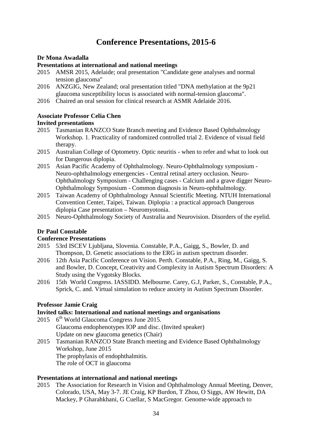## **Conference Presentations, 2015-6**

#### **Dr Mona Awadalla**

#### **Presentations at international and national meetings**

- 2015 AMSR 2015, Adelaide; oral presentation "Candidate gene analyses and normal tension glaucoma"
- 2016 ANZGIG, New Zealand; oral presentation titled "DNA methylation at the 9p21 glaucoma susceptibility locus is associated with normal-tension glaucoma".
- 2016 Chaired an oral session for clinical research at ASMR Adelaide 2016.

#### **Associate Professor Celia Chen**

#### **Invited presentations**

- 2015 Tasmanian RANZCO State Branch meeting and Evidence Based Ophthalmology Workshop. 1. Practicality of randomized controlled trial 2. Evidence of visual field therapy.
- 2015 Australian College of Optometry. Optic neuritis when to refer and what to look out for Dangerous diplopia.
- 2015 Asian Pacific Academy of Ophthalmology. Neuro-Ophthalmology symposium Neuro-ophthalmology emergencies - Central retinal artery occlusion. Neuro-Ophthalmology Symposium - Challenging cases - Calcium and a grave digger Neuro-Ophthalmology Symposium - Common diagnosis in Neuro-ophthalmology.
- 2015 Taiwan Academy of Ophthalmology Annual Scientific Meeting. NTUH International Convention Center, Taipei, Taiwan. Diplopia : a practical approach Dangerous diplopia Case presentation – Neuromyotonia.
- 2015 Neuro-Ophthalmology Society of Australia and Neurovision. Disorders of the eyelid.

#### **Dr Paul Constable**

#### **Conference Presentations**

- 2015 53rd ISCEV Ljubljana, Slovenia. Constable, P.A., Gaigg, S., Bowler, D. and Thompson, D. Genetic associations to the ERG in autism spectrum disorder.
- 2016 12th Asia Pacific Conference on Vision. Perth. Constable, P.A., Ring, M., Gaigg, S. and Bowler, D. Concept, Creativity and Complexity in Autism Spectrum Disorders: A Study using the Vygotsky Blocks.
- 2016 15th World Congress. IASSIDD. Melbourne. Carey, G.J, Parker, S., Constable, P.A., Sprick, C. and. Virtual simulation to reduce anxiety in Autism Spectrum Disorder.

#### **Professor Jamie Craig**

#### **Invited talks: International and national meetings and organisations**

- 2015  $6<sup>th</sup>$  World Glaucoma Congress June 2015. Glaucoma endophenotypes IOP and disc. (Invited speaker) Update on new glaucoma genetics (Chair) 2015 Tasmanian RANZCO State Branch meeting and Evidence Based Ophthalmology
	- Workshop, June 2015 The prophylaxis of endophthalmitis. The role of OCT in glaucoma

#### **Presentations at international and national meetings**

2015 The Association for Research in Vision and Ophthalmology Annual Meeting, Denver, Colorado, USA, May 3-7. JE Craig, KP Burdon, T Zhou, O Siggs, AW Hewitt, DA Mackey, P Gharahkhani, G Cuellar, S MacGregor. Genome-wide approach to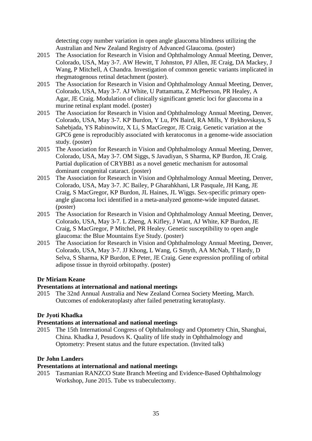detecting copy number variation in open angle glaucoma blindness utilizing the Australian and New Zealand Registry of Advanced Glaucoma. (poster)

- 2015 The Association for Research in Vision and Ophthalmology Annual Meeting, Denver, Colorado, USA, May 3-7. AW Hewitt, T Johnston, PJ Allen, JE Craig, DA Mackey, J Wang, P Mitchell, A Chandra. Investigation of common genetic variants implicated in rhegmatogenous retinal detachment (poster).
- 2015 The Association for Research in Vision and Ophthalmology Annual Meeting, Denver, Colorado, USA, May 3-7. AJ White, U Pattamatta, Z McPherson, PR Healey, A Agar, JE Craig. Modulation of clinically significant genetic loci for glaucoma in a murine retinal explant model. (poster)
- 2015 The Association for Research in Vision and Ophthalmology Annual Meeting, Denver, Colorado, USA, May 3-7. KP Burdon, Y Lu, PN Baird, RA Mills, Y Bykhovskaya, S Sahebjada, YS Rabinowitz, X Li, S MacGregor, JE Craig. Genetic variation at the GPC6 gene is reproducibly associated with keratoconus in a genome-wide association study. (poster)
- 2015 The Association for Research in Vision and Ophthalmology Annual Meeting, Denver, Colorado, USA, May 3-7. OM Siggs, S Javadiyan, S Sharma, KP Burdon, JE Craig. Partial duplication of CRYBB1 as a novel genetic mechanism for autosomal dominant congenital cataract. (poster)
- 2015 The Association for Research in Vision and Ophthalmology Annual Meeting, Denver, Colorado, USA, May 3-7. JC Bailey, P Gharahkhani, LR Pasquale, JH Kang, JE Craig, S MacGregor, KP Burdon, JL Haines, JL Wiggs. Sex-specific primary openangle glaucoma loci identified in a meta-analyzed genome-wide imputed dataset. (poster)
- 2015 The Association for Research in Vision and Ophthalmology Annual Meeting, Denver, Colorado, USA, May 3-7. L Zheng, A Kifley, J Want, AJ White, KP Burdon, JE Craig, S MacGregor, P Mitchel, PR Healey. Genetic susceptibility to open angle glaucoma: the Blue Mountains Eye Study. (poster)
- 2015 The Association for Research in Vision and Ophthalmology Annual Meeting, Denver, Colorado, USA, May 3-7. JJ Khong, L Wang, G Smyth, AA McNab, T Hardy, D Selva, S Sharma, KP Burdon, E Peter, JE Craig. Gene expression profiling of orbital adipose tissue in thyroid orbitopathy. (poster)

#### **Dr Miriam Keane**

#### **Presentations at international and national meetings**

2015 The 32nd Annual Australia and New Zealand Cornea Society Meeting, March. Outcomes of endokeratoplasty after failed penetrating keratoplasty.

#### **Dr Jyoti Khadka**

#### **Presentations at international and national meetings**

2015 The 15th International Congress of Ophthalmology and Optometry Chin, Shanghai, China. Khadka J, Pesudovs K. Quality of life study in Ophthalmology and Optometry: Present status and the future expectation. (Invited talk)

#### **Dr John Landers**

#### **Presentations at international and national meetings**

2015 Tasmanian RANZCO State Branch Meeting and Evidence-Based Ophthalmology Workshop, June 2015. Tube vs trabeculectomy.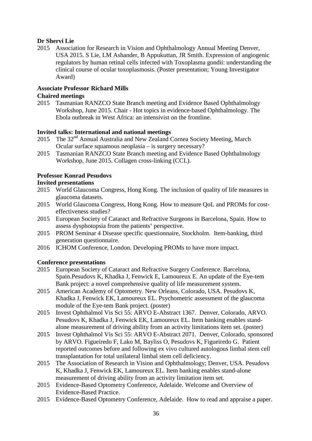#### **Dr Shervi Lie**

2015 Association for Research in Vision and Ophthalmology Annual Meeting Denver, USA 2015. S Lie, LM Ashander, B Appukuttan, JR Smith. Expression of angiogenic regulators by human retinal cells infected with Toxoplasma gondii: understanding the clinical course of ocular toxoplasmosis. (Poster presentation; Young Investigator Award)

#### **Associate Professor Richard Mills**

#### **Chaired meetings**

2015 Tasmanian RANZCO State Branch meeting and Evidence Based Ophthalmology Workshop, June 2015. Chair - Hot topics in evidence-based Ophthalmology. The Ebola outbreak in West Africa: an intensivist on the frontline.

## **Invited talks: International and national meetings**<br>2015 The 32<sup>nd</sup> Annual Australia and New Zealand C

- The 32<sup>nd</sup> Annual Australia and New Zealand Cornea Society Meeting, March Ocular surface squamous neoplasia – is surgery necessary?
- 2015 Tasmanian RANZCO State Branch meeting and Evidence Based Ophthalmology Workshop, June 2015. Collagen cross-linking (CCL).

#### **Professor Konrad Pesudovs**

#### **Invited presentations**

- 2015 World Glaucoma Congress, Hong Kong. The inclusion of quality of life measures in glaucoma datasets.
- 2015 World Glaucoma Congress, Hong Kong. How to measure QoL and PROMs for costeffectiveness studies?
- 2015 European Society of Cataract and Refractive Surgeons in Barcelona, Spain. How to assess dysphotopsia from the patients' perspective.
- 2015 PROM Seminar 4 Disease specific questionnaire, Stockholm. Item-banking, third generation questionnaire.
- 2016 ICHOM Conference, London. Developing PROMs to have more impact.

#### **Conference presentations**

- 2015 European Society of Cataract and Refractive Surgery Conference. Barcelona, Spain.Pesudovs K, Khadka J, Fenwick E, Lamoureux E. An update of the Eye-tem Bank project: a novel comprehensive quality of life measurement system.
- 2015 American Academy of Optometry. New Orleans, Colorado, USA. Pesudovs K, Khadka J, Fenwick EK, Lamoureux EL. Psychometric assessment of the glaucoma module of the Eye-tem Bank project. (poster)
- 2015 Invest Ophthalmol Vis Sci 55: ARVO E-Abstract 1367. Denver, Colorado, ARVO. Pesudovs K, Khadka J, Fenwick EK, Lamoureux EL. Item banking enables standalone measurement of driving ability from an activity limitations item set. (poster)
- 2015 Invest Ophthalmol Vis Sci 55: ARVO E-Abstract 2071. Denver, Colorado, sponsored by ARVO. Figueiredo F, Lako M, Bayliss O, Pesudovs K, Figueiredo G. Patient reported outcomes before and following ex vivo cultured autologous limbal stem cell transplantation for total unilateral limbal stem cell deficiency.
- 2015 The Association of Research in Vision and Ophthalmology; Denver, USA. Pesudovs K, Khadka J, Fenwick EK, Lamoureux EL. Item banking enables stand-alone measurement of driving ability from an activity limitation item set.
- 2015 Evidence-Based Optometry Conference, Adelaide. Welcome and Overview of Evidence-Based Practice.
- 2015 Evidence-Based Optometry Conference, Adelaide. How to read and appraise a paper.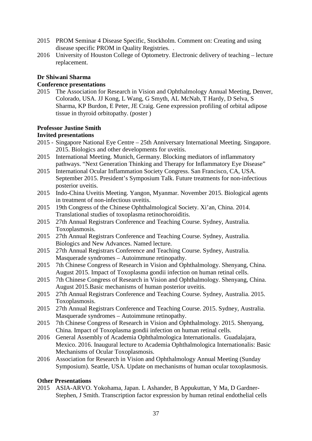- 2015 PROM Seminar 4 Disease Specific, Stockholm. Comment on: Creating and using disease specific PROM in Quality Registries. .
- 2016 University of Houston College of Optometry. Electronic delivery of teaching lecture replacement.

#### **Dr Shiwani Sharma**

#### **Conference presentations**

2015 The Association for Research in Vision and Ophthalmology Annual Meeting, Denver, Colorado, USA. JJ Kong, L Wang, G Smyth, AL McNab, T Hardy, D Selva, S Sharma, KP Burdon, E Peter, JE Craig. Gene expression profiling of orbital adipose tissue in thyroid orbitopathy. (poster )

#### **Professor Justine Smith**

#### **Invited presentations**

- 2015 Singapore National Eye Centre 25th Anniversary International Meeting. Singapore. 2015. Biologics and other developments for uveitis.
- 2015 International Meeting. Munich, Germany. Blocking mediators of inflammatory pathways. "Next Generation Thinking and Therapy for Inflammatory Eye Disease"
- 2015 International Ocular Inflammation Society Congress. San Francisco, CA, USA. September 2015. President's Symposium Talk. Future treatments for non-infectious posterior uveitis.
- 2015 Indo-China Uveitis Meeting. Yangon, Myanmar. November 2015. Biological agents in treatment of non-infectious uveitis.
- 2015 19th Congress of the Chinese Ophthalmological Society. Xi'an, China. 2014. Translational studies of toxoplasma retinochoroiditis.
- 2015 27th Annual Registrars Conference and Teaching Course. Sydney, Australia. Toxoplasmosis.
- 2015 27th Annual Registrars Conference and Teaching Course. Sydney, Australia. Biologics and New Advances. Named lecture.
- 2015 27th Annual Registrars Conference and Teaching Course. Sydney, Australia. Masquerade syndromes – Autoimmune retinopathy.
- 2015 7th Chinese Congress of Research in Vision and Ophthalmology. Shenyang, China. August 2015. Impact of Toxoplasma gondii infection on human retinal cells.
- 2015 7th Chinese Congress of Research in Vision and Ophthalmology. Shenyang, China. August 2015.Basic mechanisms of human posterior uveitis.
- 2015 27th Annual Registrars Conference and Teaching Course. Sydney, Australia. 2015. Toxoplasmosis.
- 2015 27th Annual Registrars Conference and Teaching Course. 2015. Sydney, Australia. Masquerade syndromes – Autoimmune retinopathy.
- 2015 7th Chinese Congress of Research in Vision and Ophthalmology. 2015. Shenyang, China. Impact of Toxoplasma gondii infection on human retinal cells.
- 2016 General Assembly of Academia Ophthalmologica Internationalis. Guadalajara, Mexico. 2016. Inaugural lecture to Academia Ophthalmologica Internationalis: Basic Mechanisms of Ocular Toxoplasmosis.
- 2016 Association for Research in Vision and Ophthalmology Annual Meeting (Sunday Symposium). Seattle, USA. Update on mechanisms of human ocular toxoplasmosis.

#### **Other Presentations**

2015 ASIA-ARVO. Yokohama, Japan. L Ashander, B Appukuttan, Y Ma, D Gardner-Stephen, J Smith. Transcription factor expression by human retinal endothelial cells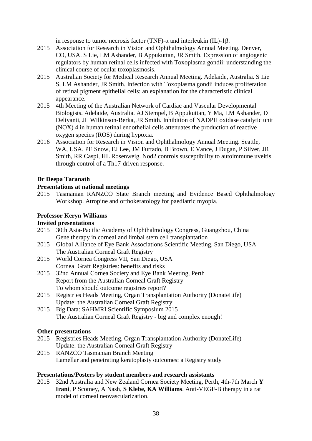in response to tumor necrosis factor (TNF)-α and interleukin (IL)-1β.

- 2015 Association for Research in Vision and Ophthalmology Annual Meeting. Denver, CO, USA. S Lie, LM Ashander, B Appukuttan, JR Smith. Expression of angiogenic regulators by human retinal cells infected with Toxoplasma gondii: understanding the clinical course of ocular toxoplasmosis.
- 2015 Australian Society for Medical Research Annual Meeting. Adelaide, Australia. S Lie S, LM Ashander, JR Smith. Infection with Toxoplasma gondii induces proliferation of retinal pigment epithelial cells: an explanation for the characteristic clinical appearance.
- 2015 4th Meeting of the Australian Network of Cardiac and Vascular Developmental Biologists. Adelaide, Australia. AJ Stempel, B Appukuttan, Y Ma, LM Ashander, D Deliyanti, JL Wilkinson-Berka, JR Smith. Inhibition of NADPH oxidase catalytic unit (NOX) 4 in human retinal endothelial cells attenuates the production of reactive oxygen species (ROS) during hypoxia.
- 2016 Association for Research in Vision and Ophthalmology Annual Meeting. Seattle, WA, USA. PE Snow, EJ Lee, JM Furtado, B Brown, E Vance, J Dugan, P Silver, JR Smith, RR Caspi, HL Rosenweig. Nod2 controls susceptibility to autoimmune uveitis through control of a Th17-driven response.

#### **Dr Deepa Taranath**

#### **Presentations at national meetings**

2015 Tasmanian RANZCO State Branch meeting and Evidence Based Ophthalmology Workshop. Atropine and orthokeratology for paediatric myopia.

#### **Professor Keryn Williams**

#### **Invited presentations**

- 2015 30th Asia-Pacific Academy of Ophthalmology Congress, Guangzhou, China Gene therapy in corneal and limbal stem cell transplantation
- 2015 Global Alliance of Eye Bank Associations Scientific Meeting, San Diego, USA The Australian Corneal Graft Registry
- 2015 World Cornea Congress VII, San Diego, USA Corneal Graft Registries: benefits and risks
- 2015 32nd Annual Cornea Society and Eye Bank Meeting, Perth Report from the Australian Corneal Graft Registry To whom should outcome registries report?
- 2015 Registries Heads Meeting, Organ Transplantation Authority (DonateLife) Update: the Australian Corneal Graft Registry
- 2015 Big Data: SAHMRI Scientific Symposium 2015 The Australian Corneal Graft Registry - big and complex enough!

#### **Other presentations**

- 2015 Registries Heads Meeting, Organ Transplantation Authority (DonateLife) Update: the Australian Corneal Graft Registry
- 2015 RANZCO Tasmanian Branch Meeting Lamellar and penetrating keratoplasty outcomes: a Registry study

#### **Presentations/Posters by student members and research assistants**

2015 32nd Australia and New Zealand Cornea Society Meeting, Perth, 4th-7th March **Y Irani**, P Scotney, A Nash, **S Klebe, KA Williams**. Anti-VEGF-B therapy in a rat model of corneal neovascularization.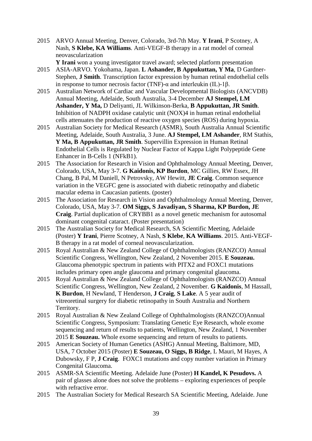2015 ARVO Annual Meeting, Denver, Colorado, 3rd-7th May. **Y Irani**, P Scotney, A Nash, **S Klebe, KA Williams**. Anti-VEGF-B therapy in a rat model of corneal neovascularization

**Y Irani** won a young investigator travel award; selected platform presentation

- 2015 ASIA-ARVO. Yokohama, Japan. **L Ashander, B Appukuttan, Y Ma**, D Gardner-Stephen, **J Smith**. Transcription factor expression by human retinal endothelial cells in response to tumor necrosis factor (TNF)-α and interleukin (IL)-1β.
- 2015 Australian Network of Cardiac and Vascular Developmental Biologists (ANCVDB) Annual Meeting, Adelaide, South Australia, 3-4 December **AJ Stempel, LM Ashander, Y Ma,** D Deliyanti, JL Wilkinson-Berka, **B Appukuttan, JR Smith**. Inhibition of NADPH oxidase catalytic unit (NOX)4 in human retinal endothelial cells attenuates the production of reactive oxygen species (ROS) during hypoxia.
- 2015 Australian Society for Medical Research (ASMR), South Australia Annual Scientific Meeting, Adelaide, South Australia, 3 June. **AJ Stempel, LM Ashander**, RM Stathis, **Y Ma, B Appukuttan, JR Smith**. Supervillin Expression in Human Retinal Endothelial Cells is Regulated by Nuclear Factor of Kappa Light Polypeptide Gene Enhancer in B-Cells 1 (NFkB1).
- 2015 The Association for Research in Vision and Ophthalmology Annual Meeting, Denver, Colorado, USA, May 3-7. **G Kaidonis, KP Burdon**, MC Gillies, RW Essex, JH Chang, B Pal, M Daniell, N Petrovsky, AW Hewitt, **JE Craig**. Common sequence variation in the VEGFC gene is associated with diabetic retinopathy and diabetic macular edema in Caucasian patients. (poster)
- 2015 The Association for Research in Vision and Ophthalmology Annual Meeting, Denver, Colorado, USA, May 3-7. **OM Siggs, S Javadiyan, S Sharma, KP Burdon, JE Craig**. Partial duplication of CRYBB1 as a novel genetic mechanism for autosomal dominant congenital cataract. (Poster presentation)
- 2015 The Australian Society for Medical Research, SA Scientific Meeting, Adelaide (Poster) **Y Irani**, Pierre Scotney, A Nash, **S Klebe**, **KA Williams**. 2015. Anti-VEGF-B therapy in a rat model of corneal neovascularization.
- 2015 Royal Australian & New Zealand College of Ophthalmologists (RANZCO) Annual Scientific Congress, Wellington, New Zealand, 2 November 2015. **E Souzeau.** Glaucoma phenotypic spectrum in patients with PITX2 and FOXC1 mutations includes primary open angle glaucoma and primary congenital glaucoma.
- 2015 Royal Australian & New Zealand College of Ophthalmologists (RANZCO) Annual Scientific Congress, Wellington, New Zealand, 2 November. **G Kaidonis**, M Hassall, **K Burdon**, H Newland, T Henderson, **J Craig**, **S Lake**. A 5 year audit of vitreoretinal surgery for diabetic retinopathy in South Australia and Northern Territory.
- 2015 Royal Australian & New Zealand College of Ophthalmologists (RANZCO)Annual Scientific Congress, Symposium: Translating Genetic Eye Research, whole exome sequencing and return of results to patients, Wellington, New Zealand, 1 November 2015 **E Souzeau.** Whole exome sequencing and return of results to patients.
- 2015 American Society of Human Genetics (ASHG) Annual Meeting, Baltimore, MD, USA, 7 October 2015 (Poster) **E Souzeau, O Siggs, B Ridge**, L Mauri, M Hayes, A Dubowsky, F P, **J Craig**. FOXC1 mutations and copy number variation in Primary Congenital Glaucoma.
- 2015 ASMR-SA Scientific Meeting. Adelaide June (Poster) **H Kandel, K Pesudovs.** A pair of glasses alone does not solve the problems – exploring experiences of people with refractive error.
- 2015 The Australian Society for Medical Research SA Scientific Meeting, Adelaide. June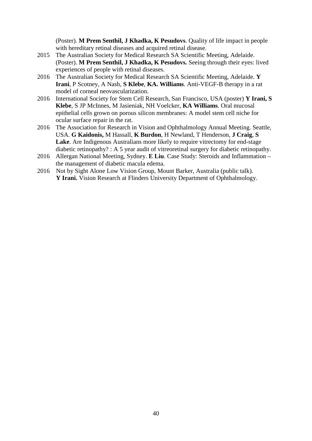(Poster). **M Prem Senthil, J Khadka, K Pesudovs**. Quality of life impact in people with hereditary retinal diseases and acquired retinal disease.

- 2015 The Australian Society for Medical Research SA Scientific Meeting, Adelaide. (Poster). **M Prem Senthil, J Khadka, K Pesudovs.** Seeing through their eyes: lived experiences of people with retinal diseases.
- 2016 The Australian Society for Medical Research SA Scientific Meeting, Adelaide. **Y Irani**, P Scotney, A Nash, **S Klebe**, **KA. Williams**. Anti-VEGF-B therapy in a rat model of corneal neovascularization.
- 2016 International Society for Stem Cell Research, San Francisco, USA (poster) **Y Irani, S Klebe**, S JP McInnes, M Jasieniak, NH Voelcker, **KA Williams**. Oral mucosal epithelial cells grown on porous silicon membranes: A model stem cell niche for ocular surface repair in the rat.
- 2016 The Association for Research in Vision and Ophthalmology Annual Meeting. Seattle, USA. **G Kaidonis,** M Hassall, **K Burdon**, H Newland, T Henderson, **J Craig**, **S Lake**. Are Indigenous Australians more likely to require vitrectomy for end-stage diabetic retinopathy? : A 5 year audit of vitreoretinal surgery for diabetic retinopathy.
- 2016 Allergan National Meeting, Sydney. **E Liu**. Case Study: Steroids and Inflammation the management of diabetic macula edema.
- 2016 Not by Sight Alone Low Vision Group, Mount Barker, Australia (public talk). **Y Irani.** Vision Research at Flinders University Department of Ophthalmology.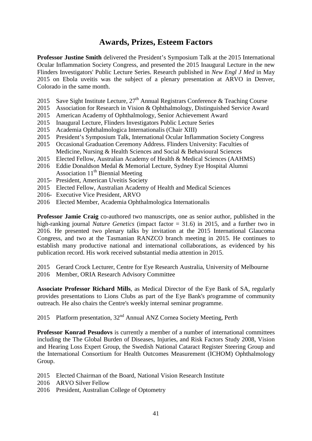## **Awards, Prizes, Esteem Factors**

**Professor Justine Smith** delivered the President's Symposium Talk at the 2015 International Ocular Inflammation Society Congress, and presented the 2015 Inaugural Lecture in the new Flinders Investigators' Public Lecture Series. Research published in *New Engl J Med* in May 2015 on Ebola uveitis was the subject of a plenary presentation at ARVO in Denver, Colorado in the same month.

- 2015 Save Sight Institute Lecture,  $27<sup>th</sup>$  Annual Registrars Conference & Teaching Course
- 2015 Association for Research in Vision & Ophthalmology, Distinguished Service Award
- 2015 American Academy of Ophthalmology, Senior Achievement Award
- 2015 Inaugural Lecture, Flinders Investigators Public Lecture Series
- 2015 Academia Ophthalmologica Internationalis (Chair XIII)
- 2015 President's Symposium Talk, International Ocular Inflammation Society Congress
- 2015 Occasional Graduation Ceremony Address. Flinders University: Faculties of Medicine, Nursing & Health Sciences and Social & Behavioural Sciences
- 2015 Elected Fellow, Australian Academy of Health & Medical Sciences (AAHMS)
- 2016 Eddie Donaldson Medal & Memorial Lecture, Sydney Eye Hospital Alumni Association  $11<sup>th</sup>$  Biennial Meeting
- 2015- President, American Uveitis Society
- 2015 Elected Fellow, Australian Academy of Health and Medical Sciences
- 2016- Executive Vice President, ARVO
- 2016 Elected Member, Academia Ophthalmologica Internationalis

**Professor Jamie Craig** co-authored two manuscripts, one as senior author, published in the high-ranking journal *Nature Genetics* (impact factor = 31.6) in 2015, and a further two in 2016. He presented two plenary talks by invitation at the 2015 International Glaucoma Congress, and two at the Tasmanian RANZCO branch meeting in 2015. He continues to establish many productive national and international collaborations, as evidenced by his publication record. His work received substantial media attention in 2015.

2015 Gerard Crock Lecturer, Centre for Eye Research Australia, University of Melbourne 2016 Member, ORIA Research Advisory Committee

**Associate Professor Richard Mills**, as Medical Director of the Eye Bank of SA, regularly provides presentations to Lions Clubs as part of the Eye Bank's programme of community outreach. He also chairs the Centre's weekly internal seminar programme.

2015 Platform presentation, 32<sup>nd</sup> Annual ANZ Cornea Society Meeting, Perth

**Professor Konrad Pesudovs** is currently a member of a number of international committees including the The Global Burden of Diseases, Injuries, and Risk Factors Study 2008, Vision and Hearing Loss Expert Group, the Swedish National Cataract Register Steering Group and the International Consortium for Health Outcomes Measurement (ICHOM) Ophthalmology Group.

- 2015 Elected Chairman of the Board, National Vision Research Institute
- 2016 ARVO Silver Fellow
- 2016 President, Australian College of Optometry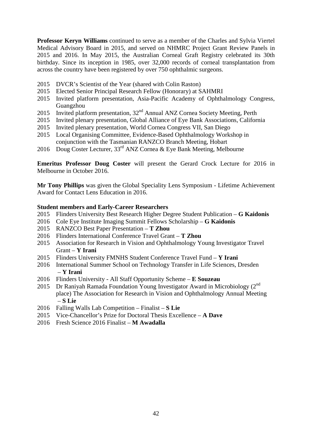**Professor Keryn Williams** continued to serve as a member of the Charles and Sylvia Viertel Medical Advisory Board in 2015, and served on NHMRC Project Grant Review Panels in 2015 and 2016. In May 2015, the Australian Corneal Graft Registry celebrated its 30th birthday. Since its inception in 1985, over 32,000 records of corneal transplantation from across the country have been registered by over 750 ophthalmic surgeons.

- 2015 DVCR's Scientist of the Year (shared with Colin Raston)
- 2015 Elected Senior Principal Research Fellow (Honorary) at SAHMRI
- 2015 Invited platform presentation, Asia-Pacific Academy of Ophthalmology Congress, Guangzhou
- 2015 Invited platform presentation, 32<sup>nd</sup> Annual ANZ Cornea Society Meeting, Perth
- 2015 Invited plenary presentation, Global Alliance of Eye Bank Associations, California
- 2015 Invited plenary presentation, World Cornea Congress VII, San Diego
- 2015 Local Organising Committee, Evidence-Based Ophthalmology Workshop in conjunction with the Tasmanian RANZCO Branch Meeting, Hobart
- 2016 Doug Coster Lecturer,  $33<sup>rd</sup> ANZ$  Cornea & Eye Bank Meeting, Melbourne

**Emeritus Professor Doug Coster** will present the Gerard Crock Lecture for 2016 in Melbourne in October 2016.

**Mr Tony Phillips** was given the Global Speciality Lens Symposium - Lifetime Achievement Award for Contact Lens Education in 2016.

#### **Student members and Early-Career Researchers**

- 2015 Flinders University Best Research Higher Degree Student Publication **G Kaidonis**
- 2016 Cole Eye Institute Imaging Summit Fellows Scholarship **G Kaidonis**
- 2015 RANZCO Best Paper Presentation **T Zhou**
- 2016 Flinders International Conference Travel Grant **T Zhou**
- 2015 Association for Research in Vision and Ophthalmology Young Investigator Travel Grant – **Y Irani**
- 2015 Flinders University FMNHS Student Conference Travel Fund **Y Irani**
- 2016 International Summer School on Technology Transfer in Life Sciences, Dresden – **Y Irani**
- 2016 Flinders University All Staff Opportunity Scheme **E Souzeau**
- 2015 Dr Raniyah Ramada Foundation Young Investigator Award in Microbiology (2<sup>nd</sup>) place) The Association for Research in Vision and Ophthalmology Annual Meeting – **S Lie**
- 2016 Falling Walls Lab Competition Finalist **S Lie**
- 2015 Vice-Chancellor's Prize for Doctoral Thesis Excellence **A Dave**
- 2016 Fresh Science 2016 Finalist **M Awadalla**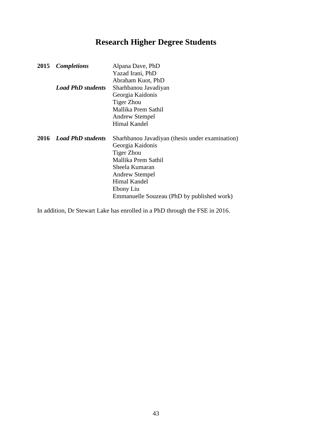## **Research Higher Degree Students**

| 2015 Completions                     | Alpana Dave, PhD                                |
|--------------------------------------|-------------------------------------------------|
|                                      | Yazad Irani, PhD                                |
|                                      | Abraham Kuot, PhD                               |
| <b>Load PhD students</b>             | Sharhbanou Javadiyan                            |
|                                      | Georgia Kaidonis                                |
|                                      | Tiger Zhou                                      |
|                                      | Mallika Prem Sathil                             |
|                                      | <b>Andrew Stempel</b>                           |
|                                      | <b>Himal Kandel</b>                             |
| <b>2016</b> <i>Load PhD students</i> | Sharhbanou Javadiyan (thesis under examination) |
|                                      | Georgia Kaidonis                                |
|                                      | Tiger Zhou                                      |
|                                      | Mallika Prem Sathil                             |
|                                      | Sheela Kumaran                                  |
|                                      | <b>Andrew Stempel</b>                           |
|                                      | <b>Himal Kandel</b>                             |
|                                      | Ebony Liu                                       |
|                                      | Emmanuelle Souzeau (PhD by published work)      |

In addition, Dr Stewart Lake has enrolled in a PhD through the FSE in 2016.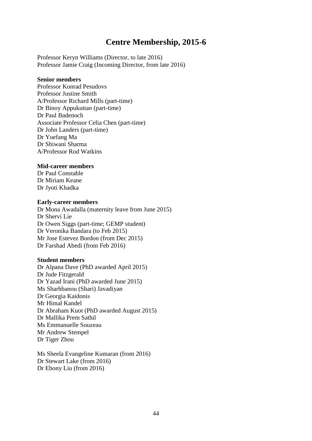## **Centre Membership, 2015-6**

Professor Keryn Williams (Director, to late 2016) Professor Jamie Craig (Incoming Director, from late 2016)

#### **Senior members**

Professor Konrad Pesudovs Professor Justine Smith A/Professor Richard Mills (part-time) Dr Binoy Appukuttan (part-time) Dr Paul Badenoch Associate Professor Celia Chen (part-time) Dr John Landers (part-time) Dr Yuefang Ma Dr Shiwani Sharma A/Professor Rod Watkins

#### **Mid-career members**

Dr Paul Constable Dr Miriam Keane Dr Jyoti Khadka

#### **Early-career members**

Dr Mona Awadalla (maternity leave from June 2015) Dr Shervi Lie Dr Owen Siggs (part-time; GEMP student) Dr Veronika Bandara (to Feb 2015) Mr Jose Estevez Bordon (from Dec 2015) Dr Farshad Abedi (from Feb 2016)

#### **Student members**

Dr Alpana Dave (PhD awarded April 2015) Dr Jude Fitzgerald Dr Yazad Irani (PhD awarded June 2015) Ms Sharhbanou (Shari) Javadiyan Dr Georgia Kaidonis Mr Himal Kandel Dr Abraham Kuot (PhD awarded August 2015) Dr Mallika Prem Sathil Ms Emmanuelle Souzeau Mr Andrew Stempel Dr Tiger Zhou

Ms Sheela Evangeline Kumaran (from 2016) Dr Stewart Lake (from 2016) Dr Ebony Liu (from 2016)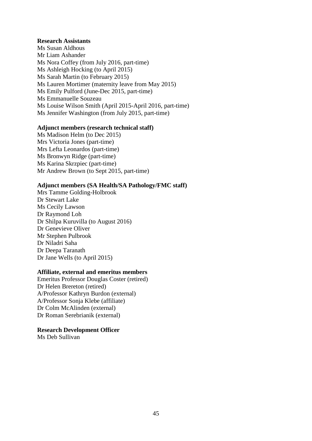#### **Research Assistants**

Ms Susan Aldhous Mr Liam Ashander Ms Nora Coffey (from July 2016, part-time) Ms Ashleigh Hocking (to April 2015) Ms Sarah Martin (to February 2015) Ms Lauren Mortimer (maternity leave from May 2015) Ms Emily Pulford (June-Dec 2015, part-time) Ms Emmanuelle Souzeau Ms Louise Wilson Smith (April 2015-April 2016, part-time) Ms Jennifer Washington (from July 2015, part-time)

#### **Adjunct members (research technical staff)**

Ms Madison Helm (to Dec 2015) Mrs Victoria Jones (part-time) Mrs Lefta Leonardos (part-time) Ms Bronwyn Ridge (part-time) Ms Karina Skrzpiec (part-time) Mr Andrew Brown (to Sept 2015, part-time)

#### **Adjunct members (SA Health/SA Pathology/FMC staff)**

Mrs Tamme Golding-Holbrook Dr Stewart Lake Ms Cecily Lawson Dr Raymond Loh Dr Shilpa Kuruvilla (to August 2016) Dr Genevieve Oliver Mr Stephen Pulbrook Dr Niladri Saha Dr Deepa Taranath Dr Jane Wells (to April 2015)

#### **Affiliate, external and emeritus members**

Emeritus Professor Douglas Coster (retired) Dr Helen Brereton (retired) A/Professor Kathryn Burdon (external) A/Professor Sonja Klebe (affiliate) Dr Colm McAlinden (external) Dr Roman Serebrianik (external)

#### **Research Development Officer**

Ms Deb Sullivan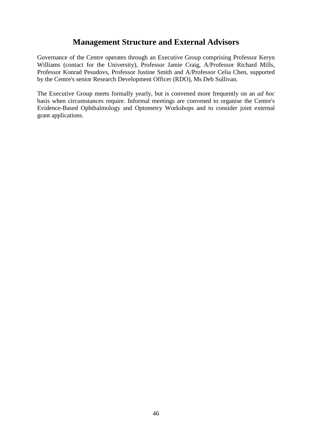## **Management Structure and External Advisors**

Governance of the Centre operates through an Executive Group comprising Professor Keryn Williams (contact for the University), Professor Jamie Craig, A/Professor Richard Mills, Professor Konrad Pesudovs, Professor Justine Smith and A/Professor Celia Chen, supported by the Centre's senior Research Development Officer (RDO), Ms Deb Sullivan.

The Executive Group meets formally yearly, but is convened more frequently on an *ad hoc* basis when circumstances require. Informal meetings are convened to organise the Centre's Evidence-Based Ophthalmology and Optometry Workshops and to consider joint external grant applications.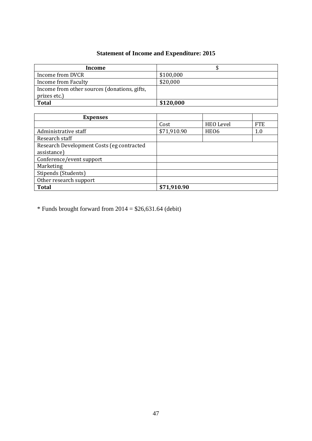## **Statement of Income and Expenditure: 2015**

| Income                                       |           |
|----------------------------------------------|-----------|
| Income from DVCR                             | \$100,000 |
| Income from Faculty                          | \$20,000  |
| Income from other sources (donations, gifts, |           |
| prizes etc.)                                 |           |
| <b>Total</b>                                 | \$120,000 |

| <b>Expenses</b>                           |             |                  |            |
|-------------------------------------------|-------------|------------------|------------|
|                                           | Cost        | <b>HEO</b> Level | <b>FTE</b> |
| Administrative staff                      | \$71,910.90 | HE <sub>06</sub> | 1.0        |
| Research staff                            |             |                  |            |
| Research Development Costs (eg contracted |             |                  |            |
| assistance)                               |             |                  |            |
| Conference/event support                  |             |                  |            |
| Marketing                                 |             |                  |            |
| Stipends (Students)                       |             |                  |            |
| Other research support                    |             |                  |            |
| <b>Total</b>                              | \$71,910.90 |                  |            |

 $*$  Funds brought forward from 2014 = \$26,631.64 (debit)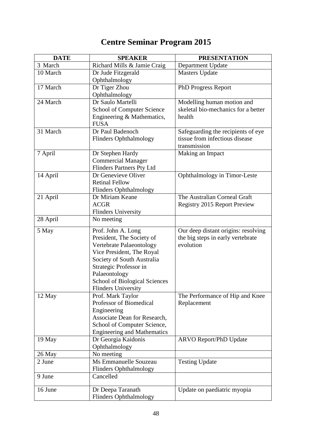## **Centre Seminar Program 2015**

| <b>DATE</b> | <b>SPEAKER</b>                       | <b>PRESENTATION</b>                 |
|-------------|--------------------------------------|-------------------------------------|
| 3 March     | Richard Mills & Jamie Craig          | Department Update                   |
| 10 March    | Dr Jude Fitzgerald                   | <b>Masters Update</b>               |
|             | Ophthalmology                        |                                     |
| 17 March    | Dr Tiger Zhou                        | PhD Progress Report                 |
|             | Ophthalmology                        |                                     |
| 24 March    | Dr Saulo Martelli                    | Modelling human motion and          |
|             | School of Computer Science           | skeletal bio-mechanics for a better |
|             | Engineering & Mathematics,           | health                              |
|             | <b>FUSA</b>                          |                                     |
| 31 March    | Dr Paul Badenoch                     | Safeguarding the recipients of eye  |
|             | <b>Flinders Ophthalmology</b>        | tissue from infectious disease      |
|             |                                      | transmission                        |
| 7 April     | Dr Stephen Hardy                     | Making an Impact                    |
|             | <b>Commercial Manager</b>            |                                     |
|             | <b>Flinders Partners Pty Ltd</b>     |                                     |
| 14 April    | Dr Genevieve Oliver                  | Ophthalmology in Timor-Leste        |
|             | <b>Retinal Fellow</b>                |                                     |
|             | <b>Flinders Ophthalmology</b>        |                                     |
| 21 April    | Dr Miriam Keane                      | The Australian Corneal Graft        |
|             | <b>ACGR</b>                          | Registry 2015 Report Preview        |
|             | <b>Flinders University</b>           |                                     |
| 28 April    | No meeting                           |                                     |
| 5 May       | Prof. John A. Long                   | Our deep distant origins: resolving |
|             | President, The Society of            | the big steps in early vertebrate   |
|             | Vertebrate Palaeontology             | evolution                           |
|             | Vice President, The Royal            |                                     |
|             | Society of South Australia           |                                     |
|             | Strategic Professor in               |                                     |
|             | Palaeontology                        |                                     |
|             | <b>School of Biological Sciences</b> |                                     |
|             | <b>Flinders University</b>           |                                     |
| 12 May      | Prof. Mark Taylor                    | The Performance of Hip and Knee     |
|             | Professor of Biomedical              | Replacement                         |
|             | Engineering                          |                                     |
|             | Associate Dean for Research,         |                                     |
|             | School of Computer Science,          |                                     |
|             | <b>Engineering and Mathematics</b>   |                                     |
| 19 May      | Dr Georgia Kaidonis                  | <b>ARVO Report/PhD Update</b>       |
|             | Ophthalmology                        |                                     |
| 26 May      | No meeting                           |                                     |
| 2 June      | Ms Emmanuelle Souzeau                | <b>Testing Update</b>               |
|             | Flinders Ophthalmology               |                                     |
| 9 June      | Cancelled                            |                                     |
| 16 June     | Dr Deepa Taranath                    | Update on paediatric myopia         |
|             | <b>Flinders Ophthalmology</b>        |                                     |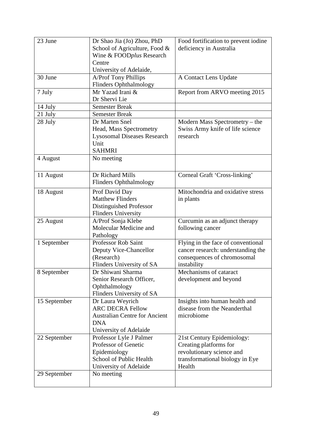| 23 June      | Dr Shao Jia (Jo) Zhou, PhD           | Food fortification to prevent iodine |
|--------------|--------------------------------------|--------------------------------------|
|              | School of Agriculture, Food &        | deficiency in Australia              |
|              | Wine & FOODplus Research             |                                      |
|              | Centre                               |                                      |
|              | University of Adelaide,              |                                      |
| 30 June      | <b>A/Prof Tony Phillips</b>          | A Contact Lens Update                |
|              | <b>Flinders Ophthalmology</b>        |                                      |
| 7 July       | Mr Yazad Irani &                     | Report from ARVO meeting 2015        |
|              | Dr Shervi Lie                        |                                      |
| 14 July      | <b>Semester Break</b>                |                                      |
| 21 July      | <b>Semester Break</b>                |                                      |
| 28 July      | Dr Marten Snel                       | Modern Mass Spectrometry – the       |
|              | Head, Mass Spectrometry              | Swiss Army knife of life science     |
|              | <b>Lysosomal Diseases Research</b>   | research                             |
|              | Unit                                 |                                      |
|              | <b>SAHMRI</b>                        |                                      |
| 4 August     | No meeting                           |                                      |
|              |                                      |                                      |
| 11 August    | Dr Richard Mills                     | Corneal Graft 'Cross-linking'        |
|              | <b>Flinders Ophthalmology</b>        |                                      |
|              |                                      |                                      |
| 18 August    | Prof David Day                       | Mitochondria and oxidative stress    |
|              | <b>Matthew Flinders</b>              | in plants                            |
|              | Distinguished Professor              |                                      |
|              | <b>Flinders University</b>           |                                      |
| 25 August    | A/Prof Sonja Klebe                   | Curcumin as an adjunct therapy       |
|              | Molecular Medicine and               | following cancer                     |
|              | Pathology                            |                                      |
| 1 September  | <b>Professor Rob Saint</b>           | Flying in the face of conventional   |
|              | Deputy Vice-Chancellor               | cancer research: understanding the   |
|              | (Research)                           | consequences of chromosomal          |
|              | Flinders University of SA            | instability                          |
| 8 September  | Dr Shiwani Sharma                    | Mechanisms of cataract               |
|              | Senior Research Officer,             | development and beyond               |
|              | Ophthalmology                        |                                      |
|              | Flinders University of SA            |                                      |
| 15 September | Dr Laura Weyrich                     | Insights into human health and       |
|              | <b>ARC DECRA Fellow</b>              | disease from the Neanderthal         |
|              | <b>Australian Centre for Ancient</b> | microbiome                           |
|              | <b>DNA</b>                           |                                      |
|              | University of Adelaide               |                                      |
| 22 September | Professor Lyle J Palmer              | 21st Century Epidemiology:           |
|              | Professor of Genetic                 | Creating platforms for               |
|              | Epidemiology                         | revolutionary science and            |
|              | School of Public Health              | transformational biology in Eye      |
|              | University of Adelaide               | Health                               |
| 29 September | No meeting                           |                                      |
|              |                                      |                                      |